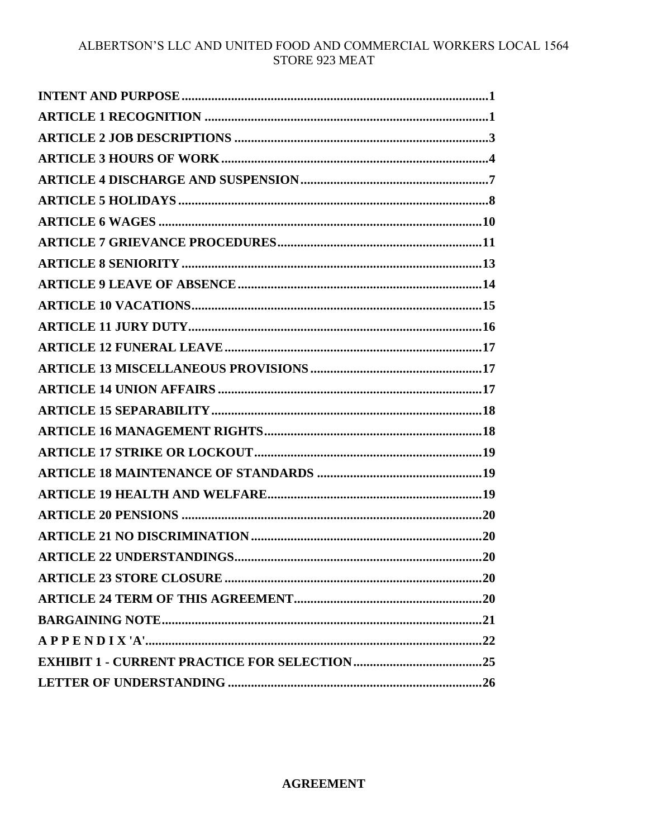# ALBERTSON'S LLC AND UNITED FOOD AND COMMERCIAL WORKERS LOCAL 1564 STORE 923 MEAT

### **AGREEMENT**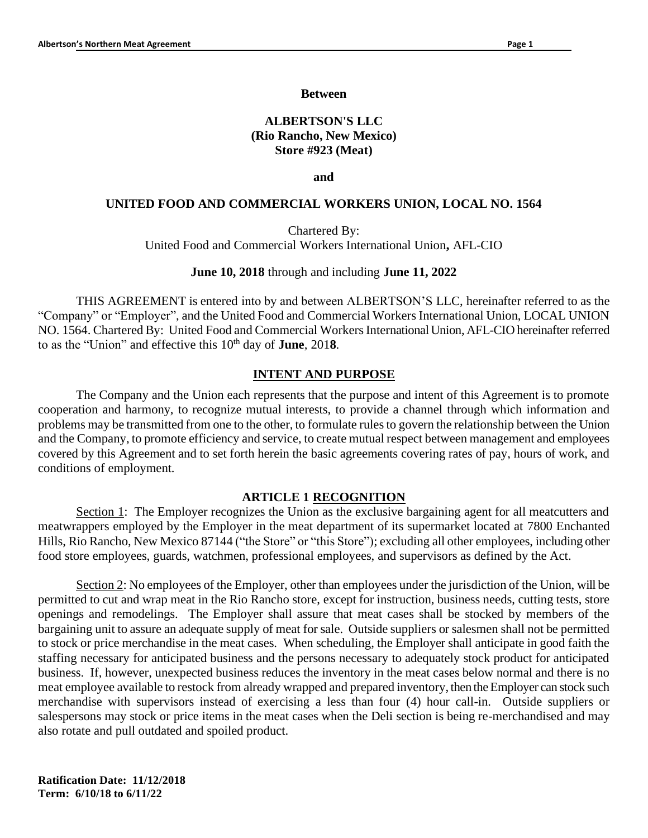#### **Between**

# **ALBERTSON'S LLC (Rio Rancho, New Mexico) Store #923 (Meat)**

**and**

#### **UNITED FOOD AND COMMERCIAL WORKERS UNION, LOCAL NO. 1564**

Chartered By:

United Food and Commercial Workers International Union**,** AFL-CIO

#### **June 10, 2018** through and including **June 11, 2022**

THIS AGREEMENT is entered into by and between ALBERTSON'S LLC, hereinafter referred to as the "Company" or "Employer", and the United Food and Commercial Workers International Union, LOCAL UNION NO. 1564. Chartered By: United Food and Commercial Workers International Union, AFL-CIO hereinafter referred to as the "Union" and effective this 10<sup>th</sup> day of **June**, 2018.

#### **INTENT AND PURPOSE**

The Company and the Union each represents that the purpose and intent of this Agreement is to promote cooperation and harmony, to recognize mutual interests, to provide a channel through which information and problems may be transmitted from one to the other, to formulate rules to govern the relationship between the Union and the Company, to promote efficiency and service, to create mutual respect between management and employees covered by this Agreement and to set forth herein the basic agreements covering rates of pay, hours of work, and conditions of employment.

#### **ARTICLE 1 RECOGNITION**

Section 1: The Employer recognizes the Union as the exclusive bargaining agent for all meatcutters and meatwrappers employed by the Employer in the meat department of its supermarket located at 7800 Enchanted Hills, Rio Rancho, New Mexico 87144 ("the Store" or "this Store"); excluding all other employees, including other food store employees, guards, watchmen, professional employees, and supervisors as defined by the Act.

Section 2: No employees of the Employer, other than employees under the jurisdiction of the Union, will be permitted to cut and wrap meat in the Rio Rancho store, except for instruction, business needs, cutting tests, store openings and remodelings. The Employer shall assure that meat cases shall be stocked by members of the bargaining unit to assure an adequate supply of meat for sale. Outside suppliers or salesmen shall not be permitted to stock or price merchandise in the meat cases. When scheduling, the Employer shall anticipate in good faith the staffing necessary for anticipated business and the persons necessary to adequately stock product for anticipated business. If, however, unexpected business reduces the inventory in the meat cases below normal and there is no meat employee available to restock from already wrapped and prepared inventory, then the Employer can stock such merchandise with supervisors instead of exercising a less than four (4) hour call-in. Outside suppliers or salespersons may stock or price items in the meat cases when the Deli section is being re-merchandised and may also rotate and pull outdated and spoiled product.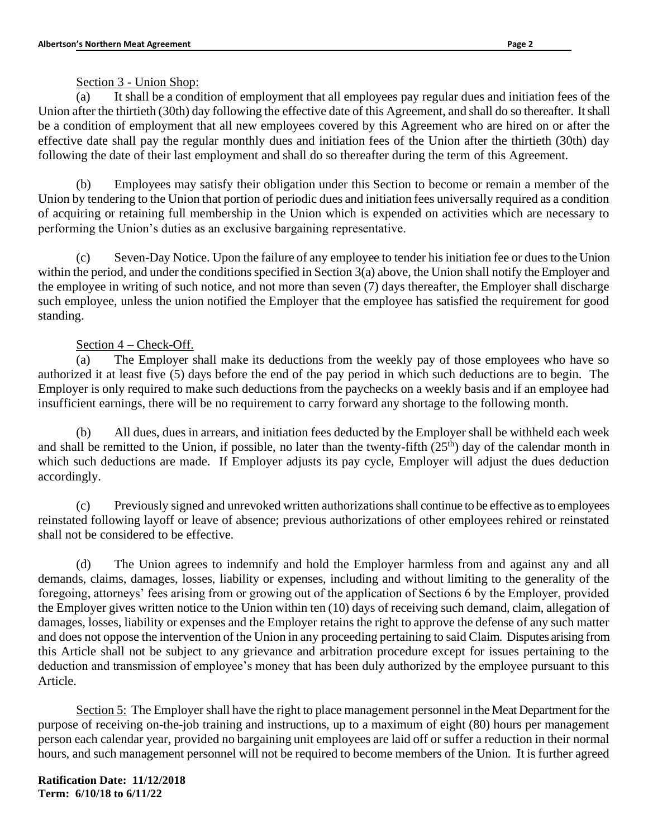Section 3 - Union Shop:

(a) It shall be a condition of employment that all employees pay regular dues and initiation fees of the Union after the thirtieth (30th) day following the effective date of this Agreement, and shall do so thereafter. It shall be a condition of employment that all new employees covered by this Agreement who are hired on or after the effective date shall pay the regular monthly dues and initiation fees of the Union after the thirtieth (30th) day following the date of their last employment and shall do so thereafter during the term of this Agreement.

(b) Employees may satisfy their obligation under this Section to become or remain a member of the Union by tendering to the Union that portion of periodic dues and initiation fees universally required as a condition of acquiring or retaining full membership in the Union which is expended on activities which are necessary to performing the Union's duties as an exclusive bargaining representative.

(c) Seven-Day Notice. Upon the failure of any employee to tender his initiation fee or dues to the Union within the period, and under the conditions specified in Section 3(a) above, the Union shall notify the Employer and the employee in writing of such notice, and not more than seven (7) days thereafter, the Employer shall discharge such employee, unless the union notified the Employer that the employee has satisfied the requirement for good standing.

# Section 4 – Check-Off.

(a) The Employer shall make its deductions from the weekly pay of those employees who have so authorized it at least five (5) days before the end of the pay period in which such deductions are to begin. The Employer is only required to make such deductions from the paychecks on a weekly basis and if an employee had insufficient earnings, there will be no requirement to carry forward any shortage to the following month.

(b) All dues, dues in arrears, and initiation fees deducted by the Employer shall be withheld each week and shall be remitted to the Union, if possible, no later than the twenty-fifth  $(25<sup>th</sup>)$  day of the calendar month in which such deductions are made. If Employer adjusts its pay cycle, Employer will adjust the dues deduction accordingly.

(c) Previously signed and unrevoked written authorizations shall continue to be effective as to employees reinstated following layoff or leave of absence; previous authorizations of other employees rehired or reinstated shall not be considered to be effective.

(d) The Union agrees to indemnify and hold the Employer harmless from and against any and all demands, claims, damages, losses, liability or expenses, including and without limiting to the generality of the foregoing, attorneys' fees arising from or growing out of the application of Sections 6 by the Employer, provided the Employer gives written notice to the Union within ten (10) days of receiving such demand, claim, allegation of damages, losses, liability or expenses and the Employer retains the right to approve the defense of any such matter and does not oppose the intervention of the Union in any proceeding pertaining to said Claim. Disputes arising from this Article shall not be subject to any grievance and arbitration procedure except for issues pertaining to the deduction and transmission of employee's money that has been duly authorized by the employee pursuant to this Article.

Section 5: The Employer shall have the right to place management personnel in the Meat Department for the purpose of receiving on-the-job training and instructions, up to a maximum of eight (80) hours per management person each calendar year, provided no bargaining unit employees are laid off or suffer a reduction in their normal hours, and such management personnel will not be required to become members of the Union. It is further agreed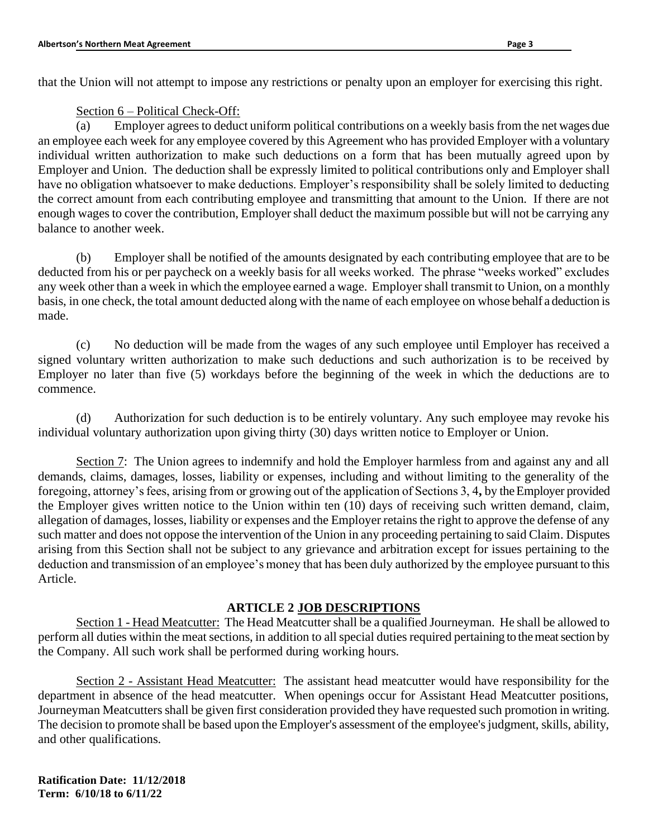that the Union will not attempt to impose any restrictions or penalty upon an employer for exercising this right.

Section 6 – Political Check-Off:

(a) Employer agrees to deduct uniform political contributions on a weekly basis from the net wages due an employee each week for any employee covered by this Agreement who has provided Employer with a voluntary individual written authorization to make such deductions on a form that has been mutually agreed upon by Employer and Union. The deduction shall be expressly limited to political contributions only and Employer shall have no obligation whatsoever to make deductions. Employer's responsibility shall be solely limited to deducting the correct amount from each contributing employee and transmitting that amount to the Union. If there are not enough wages to cover the contribution, Employer shall deduct the maximum possible but will not be carrying any balance to another week.

(b) Employer shall be notified of the amounts designated by each contributing employee that are to be deducted from his or per paycheck on a weekly basis for all weeks worked. The phrase "weeks worked" excludes any week other than a week in which the employee earned a wage. Employer shall transmit to Union, on a monthly basis, in one check, the total amount deducted along with the name of each employee on whose behalf a deduction is made.

(c) No deduction will be made from the wages of any such employee until Employer has received a signed voluntary written authorization to make such deductions and such authorization is to be received by Employer no later than five (5) workdays before the beginning of the week in which the deductions are to commence.

(d) Authorization for such deduction is to be entirely voluntary. Any such employee may revoke his individual voluntary authorization upon giving thirty (30) days written notice to Employer or Union.

Section 7: The Union agrees to indemnify and hold the Employer harmless from and against any and all demands, claims, damages, losses, liability or expenses, including and without limiting to the generality of the foregoing, attorney's fees, arising from or growing out of the application of Sections 3, 4**,** by the Employer provided the Employer gives written notice to the Union within ten (10) days of receiving such written demand, claim, allegation of damages, losses, liability or expenses and the Employer retains the right to approve the defense of any such matter and does not oppose the intervention of the Union in any proceeding pertaining to said Claim. Disputes arising from this Section shall not be subject to any grievance and arbitration except for issues pertaining to the deduction and transmission of an employee's money that has been duly authorized by the employee pursuant to this Article.

### **ARTICLE 2 JOB DESCRIPTIONS**

Section 1 - Head Meatcutter: The Head Meatcutter shall be a qualified Journeyman. He shall be allowed to perform all duties within the meat sections, in addition to all special duties required pertaining to the meat section by the Company. All such work shall be performed during working hours.

Section 2 - Assistant Head Meatcutter: The assistant head meatcutter would have responsibility for the department in absence of the head meatcutter. When openings occur for Assistant Head Meatcutter positions, Journeyman Meatcutters shall be given first consideration provided they have requested such promotion in writing. The decision to promote shall be based upon the Employer's assessment of the employee's judgment, skills, ability, and other qualifications.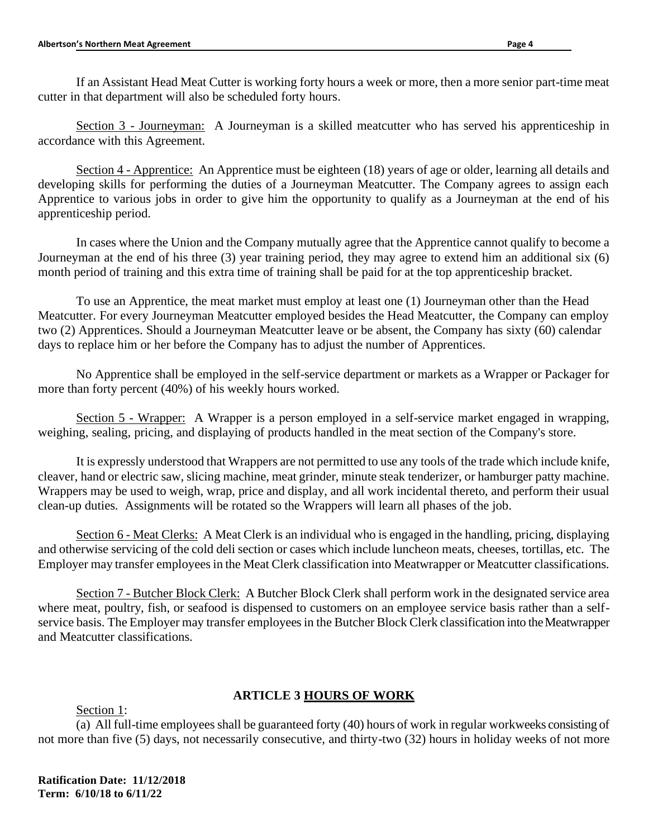If an Assistant Head Meat Cutter is working forty hours a week or more, then a more senior part-time meat cutter in that department will also be scheduled forty hours.

Section 3 - Journeyman: A Journeyman is a skilled meatcutter who has served his apprenticeship in accordance with this Agreement.

Section 4 - Apprentice: An Apprentice must be eighteen (18) years of age or older, learning all details and developing skills for performing the duties of a Journeyman Meatcutter. The Company agrees to assign each Apprentice to various jobs in order to give him the opportunity to qualify as a Journeyman at the end of his apprenticeship period.

In cases where the Union and the Company mutually agree that the Apprentice cannot qualify to become a Journeyman at the end of his three (3) year training period, they may agree to extend him an additional six (6) month period of training and this extra time of training shall be paid for at the top apprenticeship bracket.

To use an Apprentice, the meat market must employ at least one (1) Journeyman other than the Head Meatcutter. For every Journeyman Meatcutter employed besides the Head Meatcutter, the Company can employ two (2) Apprentices. Should a Journeyman Meatcutter leave or be absent, the Company has sixty (60) calendar days to replace him or her before the Company has to adjust the number of Apprentices.

No Apprentice shall be employed in the self-service department or markets as a Wrapper or Packager for more than forty percent (40%) of his weekly hours worked.

Section 5 - Wrapper: A Wrapper is a person employed in a self-service market engaged in wrapping, weighing, sealing, pricing, and displaying of products handled in the meat section of the Company's store.

It is expressly understood that Wrappers are not permitted to use any tools of the trade which include knife, cleaver, hand or electric saw, slicing machine, meat grinder, minute steak tenderizer, or hamburger patty machine. Wrappers may be used to weigh, wrap, price and display, and all work incidental thereto, and perform their usual clean-up duties. Assignments will be rotated so the Wrappers will learn all phases of the job.

Section 6 - Meat Clerks: A Meat Clerk is an individual who is engaged in the handling, pricing, displaying and otherwise servicing of the cold deli section or cases which include luncheon meats, cheeses, tortillas, etc. The Employer may transfer employees in the Meat Clerk classification into Meatwrapper or Meatcutter classifications.

Section 7 - Butcher Block Clerk: A Butcher Block Clerk shall perform work in the designated service area where meat, poultry, fish, or seafood is dispensed to customers on an employee service basis rather than a selfservice basis. The Employer may transfer employees in the Butcher Block Clerk classification into the Meatwrapper and Meatcutter classifications.

# **ARTICLE 3 HOURS OF WORK**

Section 1:

(a) All full-time employees shall be guaranteed forty (40) hours of work in regular workweeks consisting of not more than five (5) days, not necessarily consecutive, and thirty-two (32) hours in holiday weeks of not more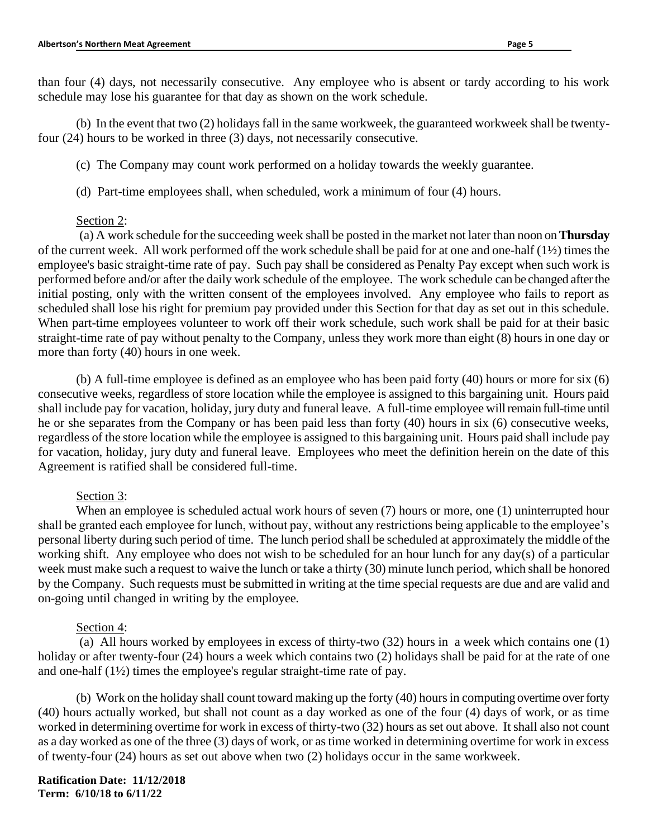than four (4) days, not necessarily consecutive. Any employee who is absent or tardy according to his work schedule may lose his guarantee for that day as shown on the work schedule.

(b) In the event that two (2) holidays fall in the same workweek, the guaranteed workweek shall be twentyfour (24) hours to be worked in three (3) days, not necessarily consecutive.

(c) The Company may count work performed on a holiday towards the weekly guarantee.

(d) Part-time employees shall, when scheduled, work a minimum of four (4) hours.

### Section 2:

(a) A work schedule for the succeeding week shall be posted in the market not later than noon on **Thursday** of the current week. All work performed off the work schedule shall be paid for at one and one-half (1½) times the employee's basic straight-time rate of pay. Such pay shall be considered as Penalty Pay except when such work is performed before and/or after the daily work schedule of the employee. The work schedule can be changed after the initial posting, only with the written consent of the employees involved. Any employee who fails to report as scheduled shall lose his right for premium pay provided under this Section for that day as set out in this schedule. When part-time employees volunteer to work off their work schedule, such work shall be paid for at their basic straight-time rate of pay without penalty to the Company, unless they work more than eight (8) hours in one day or more than forty (40) hours in one week.

(b) A full-time employee is defined as an employee who has been paid forty (40) hours or more for six (6) consecutive weeks, regardless of store location while the employee is assigned to this bargaining unit. Hours paid shall include pay for vacation, holiday, jury duty and funeral leave. A full-time employee will remain full-time until he or she separates from the Company or has been paid less than forty (40) hours in six (6) consecutive weeks, regardless of the store location while the employee is assigned to this bargaining unit. Hours paid shall include pay for vacation, holiday, jury duty and funeral leave. Employees who meet the definition herein on the date of this Agreement is ratified shall be considered full-time.

### Section 3:

When an employee is scheduled actual work hours of seven  $(7)$  hours or more, one  $(1)$  uninterrupted hour shall be granted each employee for lunch, without pay, without any restrictions being applicable to the employee's personal liberty during such period of time. The lunch period shall be scheduled at approximately the middle of the working shift. Any employee who does not wish to be scheduled for an hour lunch for any day(s) of a particular week must make such a request to waive the lunch or take a thirty (30) minute lunch period, which shall be honored by the Company. Such requests must be submitted in writing at the time special requests are due and are valid and on-going until changed in writing by the employee.

### Section 4:

(a) All hours worked by employees in excess of thirty-two (32) hours in a week which contains one (1) holiday or after twenty-four (24) hours a week which contains two (2) holidays shall be paid for at the rate of one and one-half (1½) times the employee's regular straight-time rate of pay.

(b) Work on the holiday shall count toward making up the forty (40) hours in computing overtime over forty (40) hours actually worked, but shall not count as a day worked as one of the four (4) days of work, or as time worked in determining overtime for work in excess of thirty-two (32) hours as set out above. It shall also not count as a day worked as one of the three (3) days of work, or as time worked in determining overtime for work in excess of twenty-four (24) hours as set out above when two (2) holidays occur in the same workweek.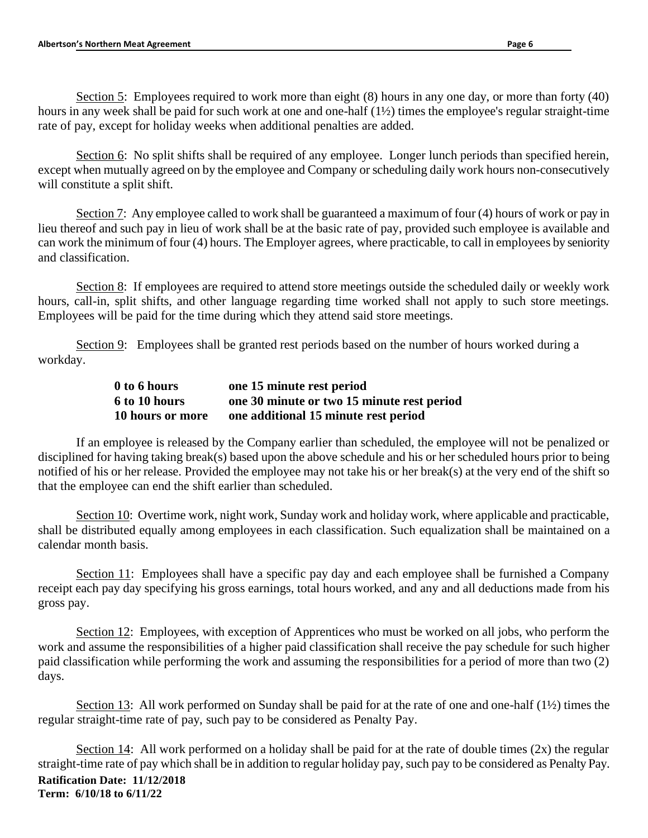Section 5: Employees required to work more than eight (8) hours in any one day, or more than forty (40) hours in any week shall be paid for such work at one and one-half (1½) times the employee's regular straight-time rate of pay, except for holiday weeks when additional penalties are added.

Section 6: No split shifts shall be required of any employee. Longer lunch periods than specified herein, except when mutually agreed on by the employee and Company or scheduling daily work hours non-consecutively will constitute a split shift.

Section 7: Any employee called to work shall be guaranteed a maximum of four (4) hours of work or pay in lieu thereof and such pay in lieu of work shall be at the basic rate of pay, provided such employee is available and can work the minimum of four (4) hours. The Employer agrees, where practicable, to call in employees by seniority and classification.

Section 8: If employees are required to attend store meetings outside the scheduled daily or weekly work hours, call-in, split shifts, and other language regarding time worked shall not apply to such store meetings. Employees will be paid for the time during which they attend said store meetings.

Section 9: Employees shall be granted rest periods based on the number of hours worked during a workday.

| 0 to 6 hours     | one 15 minute rest period                  |
|------------------|--------------------------------------------|
| 6 to 10 hours    | one 30 minute or two 15 minute rest period |
| 10 hours or more | one additional 15 minute rest period       |

If an employee is released by the Company earlier than scheduled, the employee will not be penalized or disciplined for having taking break(s) based upon the above schedule and his or her scheduled hours prior to being notified of his or her release. Provided the employee may not take his or her break(s) at the very end of the shift so that the employee can end the shift earlier than scheduled.

Section 10: Overtime work, night work, Sunday work and holiday work, where applicable and practicable, shall be distributed equally among employees in each classification. Such equalization shall be maintained on a calendar month basis.

Section 11: Employees shall have a specific pay day and each employee shall be furnished a Company receipt each pay day specifying his gross earnings, total hours worked, and any and all deductions made from his gross pay.

Section 12: Employees, with exception of Apprentices who must be worked on all jobs, who perform the work and assume the responsibilities of a higher paid classification shall receive the pay schedule for such higher paid classification while performing the work and assuming the responsibilities for a period of more than two (2) days.

Section 13: All work performed on Sunday shall be paid for at the rate of one and one-half (1½) times the regular straight-time rate of pay, such pay to be considered as Penalty Pay.

**Ratification Date: 11/12/2018 Term: 6/10/18 to 6/11/22** Section 14: All work performed on a holiday shall be paid for at the rate of double times  $(2x)$  the regular straight-time rate of pay which shall be in addition to regular holiday pay, such pay to be considered as Penalty Pay.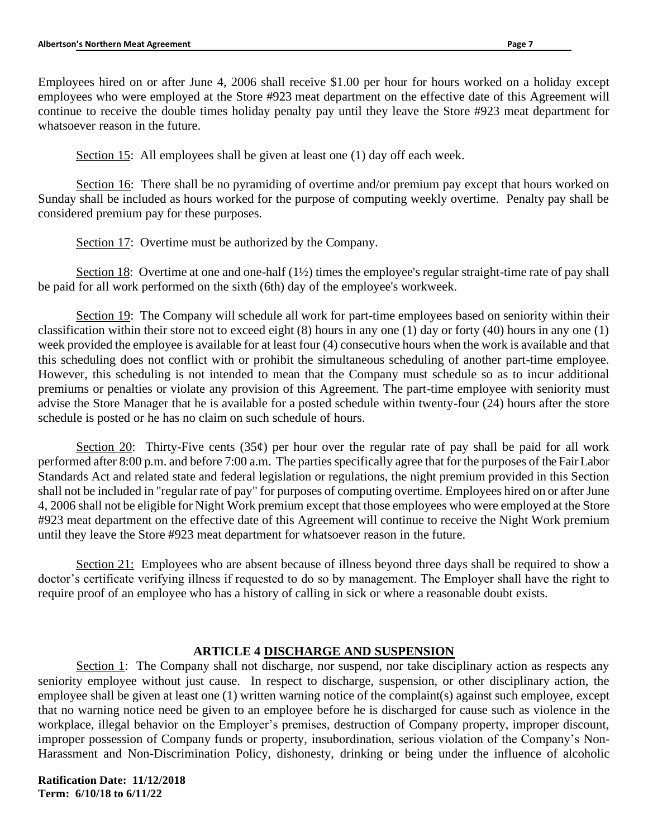Employees hired on or after June 4, 2006 shall receive \$1.00 per hour for hours worked on a holiday except employees who were employed at the Store #923 meat department on the effective date of this Agreement will continue to receive the double times holiday penalty pay until they leave the Store #923 meat department for whatsoever reason in the future.

Section 15: All employees shall be given at least one (1) day off each week.

Section 16: There shall be no pyramiding of overtime and/or premium pay except that hours worked on Sunday shall be included as hours worked for the purpose of computing weekly overtime. Penalty pay shall be considered premium pay for these purposes.

Section 17: Overtime must be authorized by the Company.

Section 18: Overtime at one and one-half (1<sup>1</sup>/<sub>2</sub>) times the employee's regular straight-time rate of pay shall be paid for all work performed on the sixth (6th) day of the employee's workweek.

Section 19: The Company will schedule all work for part-time employees based on seniority within their classification within their store not to exceed eight (8) hours in any one (1) day or forty (40) hours in any one (1) week provided the employee is available for at least four (4) consecutive hours when the work is available and that this scheduling does not conflict with or prohibit the simultaneous scheduling of another part-time employee. However, this scheduling is not intended to mean that the Company must schedule so as to incur additional premiums or penalties or violate any provision of this Agreement. The part-time employee with seniority must advise the Store Manager that he is available for a posted schedule within twenty-four (24) hours after the store schedule is posted or he has no claim on such schedule of hours.

Section 20: Thirty-Five cents (35 $\varphi$ ) per hour over the regular rate of pay shall be paid for all work performed after 8:00 p.m. and before 7:00 a.m. The parties specifically agree that for the purposes of the Fair Labor Standards Act and related state and federal legislation or regulations, the night premium provided in this Section shall not be included in "regular rate of pay" for purposes of computing overtime. Employees hired on or after June 4, 2006 shall not be eligible for Night Work premium except that those employees who were employed at the Store #923 meat department on the effective date of this Agreement will continue to receive the Night Work premium until they leave the Store #923 meat department for whatsoever reason in the future.

Section 21: Employees who are absent because of illness beyond three days shall be required to show a doctor's certificate verifying illness if requested to do so by management. The Employer shall have the right to require proof of an employee who has a history of calling in sick or where a reasonable doubt exists.

# **ARTICLE 4 DISCHARGE AND SUSPENSION**

Section 1: The Company shall not discharge, nor suspend, nor take disciplinary action as respects any seniority employee without just cause. In respect to discharge, suspension, or other disciplinary action, the employee shall be given at least one (1) written warning notice of the complaint(s) against such employee, except that no warning notice need be given to an employee before he is discharged for cause such as violence in the workplace, illegal behavior on the Employer's premises, destruction of Company property, improper discount, improper possession of Company funds or property, insubordination, serious violation of the Company's Non-Harassment and Non-Discrimination Policy, dishonesty, drinking or being under the influence of alcoholic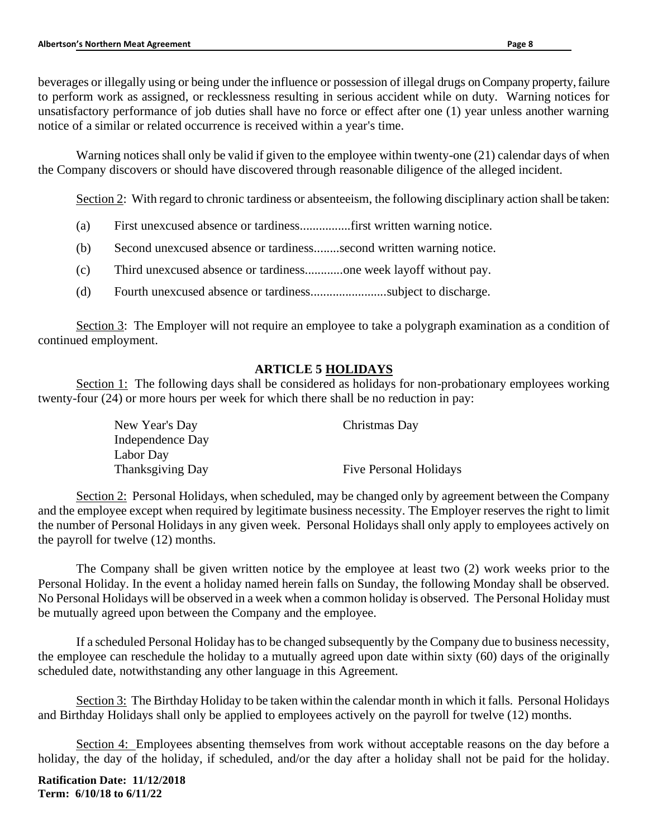beverages or illegally using or being under the influence or possession of illegal drugs on Company property, failure to perform work as assigned, or recklessness resulting in serious accident while on duty. Warning notices for unsatisfactory performance of job duties shall have no force or effect after one (1) year unless another warning notice of a similar or related occurrence is received within a year's time.

Warning notices shall only be valid if given to the employee within twenty-one (21) calendar days of when the Company discovers or should have discovered through reasonable diligence of the alleged incident.

Section 2: With regard to chronic tardiness or absenteeism, the following disciplinary action shall be taken:

- (a) First unexcused absence or tardiness................first written warning notice.
- (b) Second unexcused absence or tardiness........second written warning notice.
- (c) Third unexcused absence or tardiness............one week layoff without pay.
- (d) Fourth unexcused absence or tardiness........................subject to discharge.

Section 3: The Employer will not require an employee to take a polygraph examination as a condition of continued employment.

# **ARTICLE 5 HOLIDAYS**

Section 1: The following days shall be considered as holidays for non-probationary employees working twenty-four (24) or more hours per week for which there shall be no reduction in pay:

| New Year's Day   | Christmas Day                 |
|------------------|-------------------------------|
| Independence Day |                               |
| Labor Day        |                               |
| Thanksgiving Day | <b>Five Personal Holidays</b> |

Section 2: Personal Holidays, when scheduled, may be changed only by agreement between the Company and the employee except when required by legitimate business necessity. The Employer reserves the right to limit the number of Personal Holidays in any given week. Personal Holidays shall only apply to employees actively on the payroll for twelve (12) months.

The Company shall be given written notice by the employee at least two (2) work weeks prior to the Personal Holiday. In the event a holiday named herein falls on Sunday, the following Monday shall be observed. No Personal Holidays will be observed in a week when a common holiday is observed. The Personal Holiday must be mutually agreed upon between the Company and the employee.

If a scheduled Personal Holiday has to be changed subsequently by the Company due to business necessity, the employee can reschedule the holiday to a mutually agreed upon date within sixty (60) days of the originally scheduled date, notwithstanding any other language in this Agreement.

Section 3: The Birthday Holiday to be taken within the calendar month in which it falls. Personal Holidays and Birthday Holidays shall only be applied to employees actively on the payroll for twelve (12) months.

Section 4: Employees absenting themselves from work without acceptable reasons on the day before a holiday, the day of the holiday, if scheduled, and/or the day after a holiday shall not be paid for the holiday.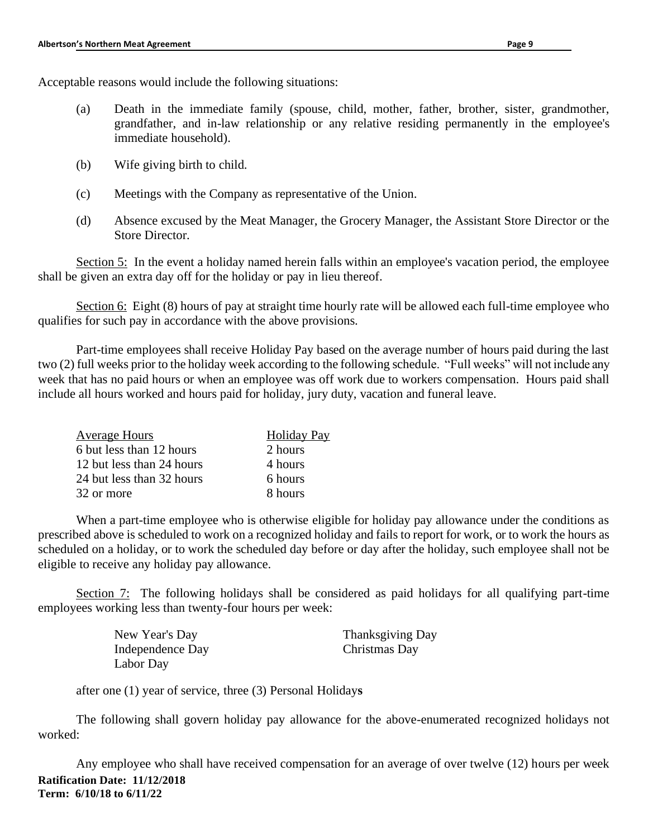Acceptable reasons would include the following situations:

- (a) Death in the immediate family (spouse, child, mother, father, brother, sister, grandmother, grandfather, and in-law relationship or any relative residing permanently in the employee's immediate household).
- (b) Wife giving birth to child.
- (c) Meetings with the Company as representative of the Union.
- (d) Absence excused by the Meat Manager, the Grocery Manager, the Assistant Store Director or the Store Director.

Section 5: In the event a holiday named herein falls within an employee's vacation period, the employee shall be given an extra day off for the holiday or pay in lieu thereof.

Section 6: Eight (8) hours of pay at straight time hourly rate will be allowed each full-time employee who qualifies for such pay in accordance with the above provisions.

Part-time employees shall receive Holiday Pay based on the average number of hours paid during the last two (2) full weeks prior to the holiday week according to the following schedule. "Full weeks" will not include any week that has no paid hours or when an employee was off work due to workers compensation. Hours paid shall include all hours worked and hours paid for holiday, jury duty, vacation and funeral leave.

| <b>Average Hours</b>      | <b>Holiday Pay</b> |
|---------------------------|--------------------|
| 6 but less than 12 hours  | 2 hours            |
| 12 but less than 24 hours | 4 hours            |
| 24 but less than 32 hours | 6 hours            |
| 32 or more                | 8 hours            |

When a part-time employee who is otherwise eligible for holiday pay allowance under the conditions as prescribed above is scheduled to work on a recognized holiday and fails to report for work, or to work the hours as scheduled on a holiday, or to work the scheduled day before or day after the holiday, such employee shall not be eligible to receive any holiday pay allowance.

Section 7: The following holidays shall be considered as paid holidays for all qualifying part-time employees working less than twenty-four hours per week:

| New Year's Day   | Thanksgiving Day |
|------------------|------------------|
| Independence Day | Christmas Day    |
| Labor Day        |                  |

after one (1) year of service, three (3) Personal Holiday**s**

The following shall govern holiday pay allowance for the above-enumerated recognized holidays not worked:

**Ratification Date: 11/12/2018 Term: 6/10/18 to 6/11/22** Any employee who shall have received compensation for an average of over twelve (12) hours per week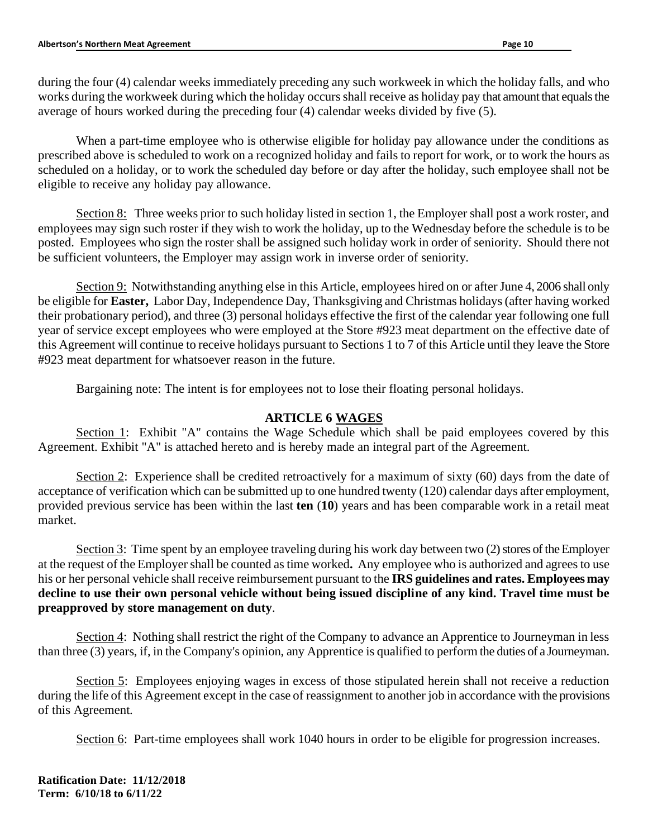during the four (4) calendar weeks immediately preceding any such workweek in which the holiday falls, and who works during the workweek during which the holiday occurs shall receive as holiday pay that amount that equals the average of hours worked during the preceding four (4) calendar weeks divided by five (5).

When a part-time employee who is otherwise eligible for holiday pay allowance under the conditions as prescribed above is scheduled to work on a recognized holiday and fails to report for work, or to work the hours as scheduled on a holiday, or to work the scheduled day before or day after the holiday, such employee shall not be eligible to receive any holiday pay allowance.

Section 8: Three weeks prior to such holiday listed in section 1, the Employer shall post a work roster, and employees may sign such roster if they wish to work the holiday, up to the Wednesday before the schedule is to be posted. Employees who sign the roster shall be assigned such holiday work in order of seniority. Should there not be sufficient volunteers, the Employer may assign work in inverse order of seniority.

Section 9: Notwithstanding anything else in this Article, employees hired on or after June 4, 2006 shall only be eligible for **Easter,** Labor Day, Independence Day, Thanksgiving and Christmas holidays (after having worked their probationary period), and three (3) personal holidays effective the first of the calendar year following one full year of service except employees who were employed at the Store #923 meat department on the effective date of this Agreement will continue to receive holidays pursuant to Sections 1 to 7 of this Article until they leave the Store #923 meat department for whatsoever reason in the future.

Bargaining note: The intent is for employees not to lose their floating personal holidays.

## **ARTICLE 6 WAGES**

Section 1: Exhibit "A" contains the Wage Schedule which shall be paid employees covered by this Agreement. Exhibit "A" is attached hereto and is hereby made an integral part of the Agreement.

Section 2: Experience shall be credited retroactively for a maximum of sixty (60) days from the date of acceptance of verification which can be submitted up to one hundred twenty (120) calendar days after employment, provided previous service has been within the last **ten** (**10**) years and has been comparable work in a retail meat market.

Section 3: Time spent by an employee traveling during his work day between two (2) stores of the Employer at the request of the Employer shall be counted as time worked**.** Any employee who is authorized and agrees to use his or her personal vehicle shall receive reimbursement pursuant to the **IRS guidelines and rates. Employees may decline to use their own personal vehicle without being issued discipline of any kind. Travel time must be preapproved by store management on duty**.

Section 4: Nothing shall restrict the right of the Company to advance an Apprentice to Journeyman in less than three (3) years, if, in the Company's opinion, any Apprentice is qualified to perform the duties of a Journeyman.

Section 5: Employees enjoying wages in excess of those stipulated herein shall not receive a reduction during the life of this Agreement except in the case of reassignment to another job in accordance with the provisions of this Agreement.

Section 6: Part-time employees shall work 1040 hours in order to be eligible for progression increases.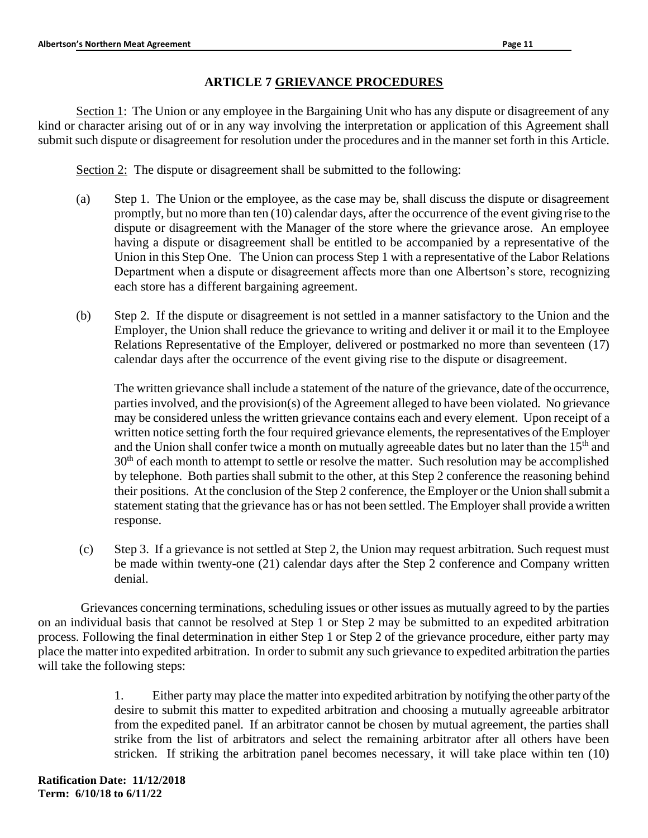# **ARTICLE 7 GRIEVANCE PROCEDURES**

Section 1: The Union or any employee in the Bargaining Unit who has any dispute or disagreement of any kind or character arising out of or in any way involving the interpretation or application of this Agreement shall submit such dispute or disagreement for resolution under the procedures and in the manner set forth in this Article.

Section 2: The dispute or disagreement shall be submitted to the following:

- (a) Step 1. The Union or the employee, as the case may be, shall discuss the dispute or disagreement promptly, but no more than ten (10) calendar days, after the occurrence of the event giving rise to the dispute or disagreement with the Manager of the store where the grievance arose. An employee having a dispute or disagreement shall be entitled to be accompanied by a representative of the Union in this Step One. The Union can process Step 1 with a representative of the Labor Relations Department when a dispute or disagreement affects more than one Albertson's store, recognizing each store has a different bargaining agreement.
- (b) Step 2. If the dispute or disagreement is not settled in a manner satisfactory to the Union and the Employer, the Union shall reduce the grievance to writing and deliver it or mail it to the Employee Relations Representative of the Employer, delivered or postmarked no more than seventeen (17) calendar days after the occurrence of the event giving rise to the dispute or disagreement.

The written grievance shall include a statement of the nature of the grievance, date of the occurrence, parties involved, and the provision(s) of the Agreement alleged to have been violated. No grievance may be considered unless the written grievance contains each and every element. Upon receipt of a written notice setting forth the four required grievance elements, the representatives of the Employer and the Union shall confer twice a month on mutually agreeable dates but no later than the  $15<sup>th</sup>$  and  $30<sup>th</sup>$  of each month to attempt to settle or resolve the matter. Such resolution may be accomplished by telephone. Both parties shall submit to the other, at this Step 2 conference the reasoning behind their positions. At the conclusion of the Step 2 conference, the Employer or the Union shall submit a statement stating that the grievance has or has not been settled. The Employer shall provide a written response.

(c) Step 3. If a grievance is not settled at Step 2, the Union may request arbitration. Such request must be made within twenty-one (21) calendar days after the Step 2 conference and Company written denial.

Grievances concerning terminations, scheduling issues or other issues as mutually agreed to by the parties on an individual basis that cannot be resolved at Step 1 or Step 2 may be submitted to an expedited arbitration process. Following the final determination in either Step 1 or Step 2 of the grievance procedure, either party may place the matter into expedited arbitration. In order to submit any such grievance to expedited arbitration the parties will take the following steps:

> 1. Either party may place the matter into expedited arbitration by notifying the other party of the desire to submit this matter to expedited arbitration and choosing a mutually agreeable arbitrator from the expedited panel. If an arbitrator cannot be chosen by mutual agreement, the parties shall strike from the list of arbitrators and select the remaining arbitrator after all others have been stricken. If striking the arbitration panel becomes necessary, it will take place within ten (10)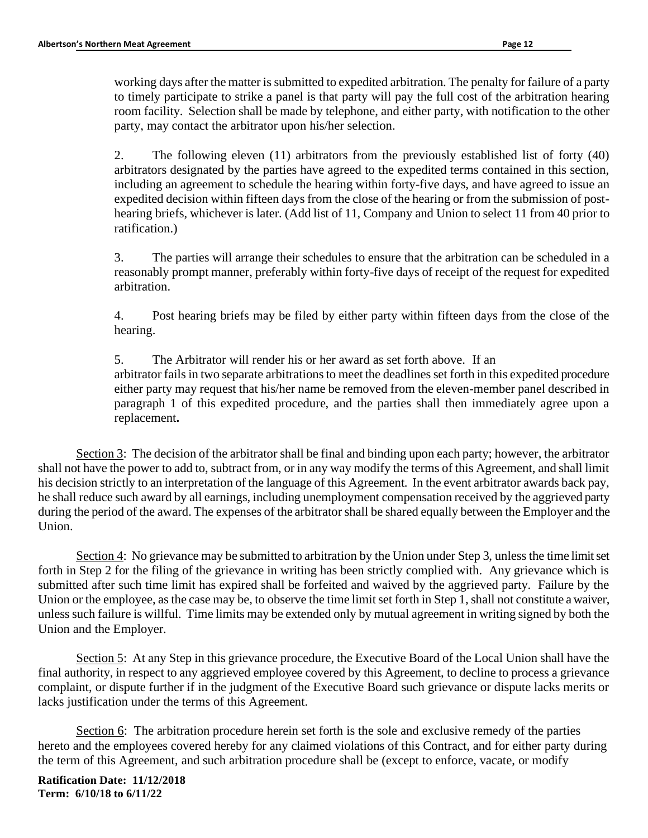working days after the matter is submitted to expedited arbitration. The penalty for failure of a party to timely participate to strike a panel is that party will pay the full cost of the arbitration hearing room facility. Selection shall be made by telephone, and either party, with notification to the other party, may contact the arbitrator upon his/her selection.

2. The following eleven (11) arbitrators from the previously established list of forty (40) arbitrators designated by the parties have agreed to the expedited terms contained in this section, including an agreement to schedule the hearing within forty-five days, and have agreed to issue an expedited decision within fifteen days from the close of the hearing or from the submission of posthearing briefs, whichever is later. (Add list of 11, Company and Union to select 11 from 40 prior to ratification.)

3. The parties will arrange their schedules to ensure that the arbitration can be scheduled in a reasonably prompt manner, preferably within forty-five days of receipt of the request for expedited arbitration.

4. Post hearing briefs may be filed by either party within fifteen days from the close of the hearing.

5. The Arbitrator will render his or her award as set forth above. If an arbitrator fails in two separate arbitrations to meet the deadlines set forth in this expedited procedure either party may request that his/her name be removed from the eleven-member panel described in paragraph 1 of this expedited procedure, and the parties shall then immediately agree upon a replacement**.** 

Section 3: The decision of the arbitrator shall be final and binding upon each party; however, the arbitrator shall not have the power to add to, subtract from, or in any way modify the terms of this Agreement, and shall limit his decision strictly to an interpretation of the language of this Agreement. In the event arbitrator awards back pay, he shall reduce such award by all earnings, including unemployment compensation received by the aggrieved party during the period of the award. The expenses of the arbitrator shall be shared equally between the Employer and the Union.

Section 4: No grievance may be submitted to arbitration by the Union under Step 3, unless the time limit set forth in Step 2 for the filing of the grievance in writing has been strictly complied with. Any grievance which is submitted after such time limit has expired shall be forfeited and waived by the aggrieved party. Failure by the Union or the employee, as the case may be, to observe the time limit set forth in Step 1, shall not constitute a waiver, unless such failure is willful. Time limits may be extended only by mutual agreement in writing signed by both the Union and the Employer.

Section 5: At any Step in this grievance procedure, the Executive Board of the Local Union shall have the final authority, in respect to any aggrieved employee covered by this Agreement, to decline to process a grievance complaint, or dispute further if in the judgment of the Executive Board such grievance or dispute lacks merits or lacks justification under the terms of this Agreement.

Section 6: The arbitration procedure herein set forth is the sole and exclusive remedy of the parties hereto and the employees covered hereby for any claimed violations of this Contract, and for either party during the term of this Agreement, and such arbitration procedure shall be (except to enforce, vacate, or modify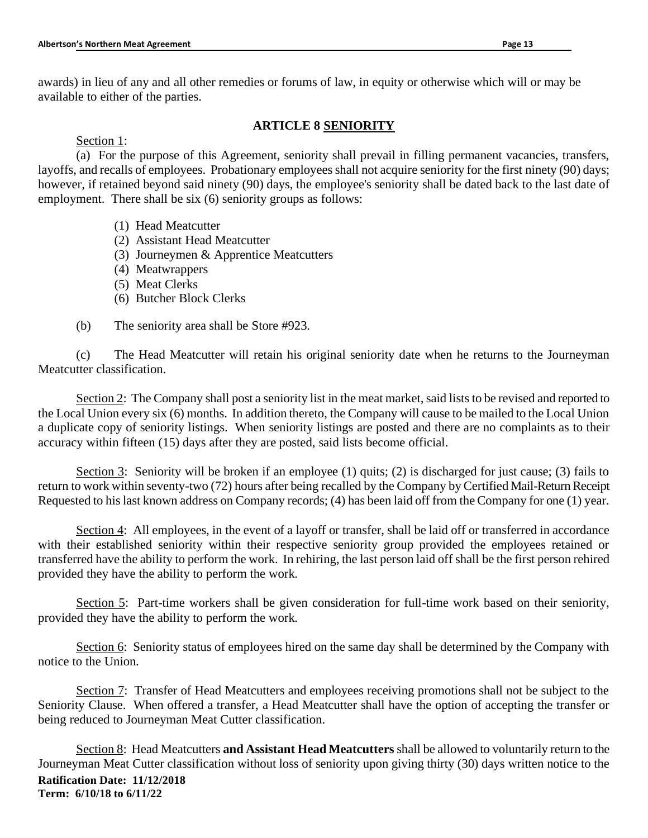awards) in lieu of any and all other remedies or forums of law, in equity or otherwise which will or may be available to either of the parties.

# **ARTICLE 8 SENIORITY**

Section 1:

(a) For the purpose of this Agreement, seniority shall prevail in filling permanent vacancies, transfers, layoffs, and recalls of employees. Probationary employees shall not acquire seniority for the first ninety (90) days; however, if retained beyond said ninety (90) days, the employee's seniority shall be dated back to the last date of employment. There shall be six (6) seniority groups as follows:

- (1) Head Meatcutter
- (2) Assistant Head Meatcutter
- (3) Journeymen & Apprentice Meatcutters
- (4) Meatwrappers
- (5) Meat Clerks
- (6) Butcher Block Clerks
- (b) The seniority area shall be Store #923.

(c) The Head Meatcutter will retain his original seniority date when he returns to the Journeyman Meatcutter classification.

Section 2: The Company shall post a seniority list in the meat market, said lists to be revised and reported to the Local Union every six (6) months. In addition thereto, the Company will cause to be mailed to the Local Union a duplicate copy of seniority listings. When seniority listings are posted and there are no complaints as to their accuracy within fifteen (15) days after they are posted, said lists become official.

Section 3: Seniority will be broken if an employee (1) quits; (2) is discharged for just cause; (3) fails to return to work within seventy-two (72) hours after being recalled by the Company by Certified Mail-Return Receipt Requested to his last known address on Company records; (4) has been laid off from the Company for one (1) year.

Section 4: All employees, in the event of a layoff or transfer, shall be laid off or transferred in accordance with their established seniority within their respective seniority group provided the employees retained or transferred have the ability to perform the work. In rehiring, the last person laid off shall be the first person rehired provided they have the ability to perform the work.

Section 5: Part-time workers shall be given consideration for full-time work based on their seniority, provided they have the ability to perform the work.

Section 6: Seniority status of employees hired on the same day shall be determined by the Company with notice to the Union.

Section 7: Transfer of Head Meatcutters and employees receiving promotions shall not be subject to the Seniority Clause. When offered a transfer, a Head Meatcutter shall have the option of accepting the transfer or being reduced to Journeyman Meat Cutter classification.

**Ratification Date: 11/12/2018 Term: 6/10/18 to 6/11/22** Section 8: Head Meatcutters **and Assistant Head Meatcutters** shall be allowed to voluntarily return to the Journeyman Meat Cutter classification without loss of seniority upon giving thirty (30) days written notice to the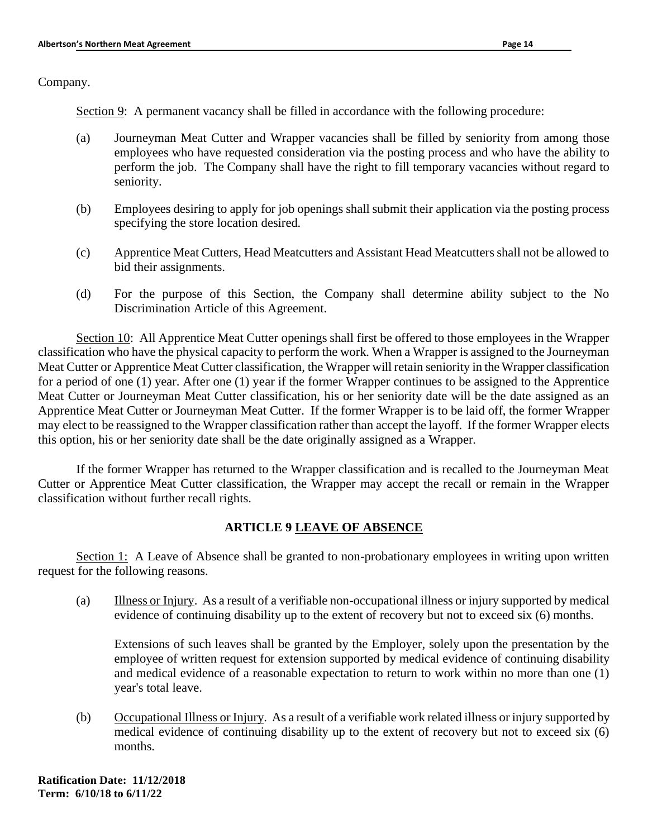Company.

Section 9: A permanent vacancy shall be filled in accordance with the following procedure:

- (a) Journeyman Meat Cutter and Wrapper vacancies shall be filled by seniority from among those employees who have requested consideration via the posting process and who have the ability to perform the job. The Company shall have the right to fill temporary vacancies without regard to seniority.
- (b) Employees desiring to apply for job openings shall submit their application via the posting process specifying the store location desired.
- (c) Apprentice Meat Cutters, Head Meatcutters and Assistant Head Meatcutters shall not be allowed to bid their assignments.
- (d) For the purpose of this Section, the Company shall determine ability subject to the No Discrimination Article of this Agreement.

Section 10: All Apprentice Meat Cutter openings shall first be offered to those employees in the Wrapper classification who have the physical capacity to perform the work. When a Wrapper is assigned to the Journeyman Meat Cutter or Apprentice Meat Cutter classification, the Wrapper will retain seniority in the Wrapper classification for a period of one (1) year. After one (1) year if the former Wrapper continues to be assigned to the Apprentice Meat Cutter or Journeyman Meat Cutter classification, his or her seniority date will be the date assigned as an Apprentice Meat Cutter or Journeyman Meat Cutter. If the former Wrapper is to be laid off, the former Wrapper may elect to be reassigned to the Wrapper classification rather than accept the layoff. If the former Wrapper elects this option, his or her seniority date shall be the date originally assigned as a Wrapper.

If the former Wrapper has returned to the Wrapper classification and is recalled to the Journeyman Meat Cutter or Apprentice Meat Cutter classification, the Wrapper may accept the recall or remain in the Wrapper classification without further recall rights.

### **ARTICLE 9 LEAVE OF ABSENCE**

Section 1: A Leave of Absence shall be granted to non-probationary employees in writing upon written request for the following reasons.

(a) Illness or Injury. As a result of a verifiable non-occupational illness or injury supported by medical evidence of continuing disability up to the extent of recovery but not to exceed six (6) months.

Extensions of such leaves shall be granted by the Employer, solely upon the presentation by the employee of written request for extension supported by medical evidence of continuing disability and medical evidence of a reasonable expectation to return to work within no more than one (1) year's total leave.

(b) Occupational Illness or Injury. As a result of a verifiable work related illness or injury supported by medical evidence of continuing disability up to the extent of recovery but not to exceed six (6) months.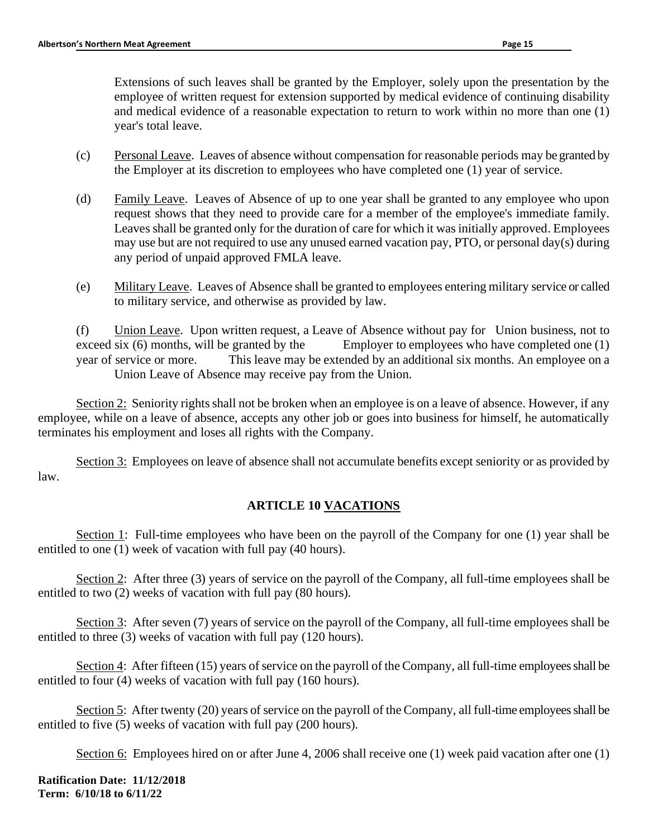Extensions of such leaves shall be granted by the Employer, solely upon the presentation by the employee of written request for extension supported by medical evidence of continuing disability and medical evidence of a reasonable expectation to return to work within no more than one (1) year's total leave.

- (c) Personal Leave. Leaves of absence without compensation for reasonable periods may be granted by the Employer at its discretion to employees who have completed one (1) year of service.
- (d) Family Leave. Leaves of Absence of up to one year shall be granted to any employee who upon request shows that they need to provide care for a member of the employee's immediate family. Leaves shall be granted only for the duration of care for which it was initially approved. Employees may use but are not required to use any unused earned vacation pay, PTO, or personal day(s) during any period of unpaid approved FMLA leave.
- (e) Military Leave. Leaves of Absence shall be granted to employees entering military service or called to military service, and otherwise as provided by law.

(f) Union Leave. Upon written request, a Leave of Absence without pay for Union business, not to exceed six  $(6)$  months, will be granted by the Employer to employees who have completed one  $(1)$ year of service or more. This leave may be extended by an additional six months. An employee on a Union Leave of Absence may receive pay from the Union.

Section 2: Seniority rights shall not be broken when an employee is on a leave of absence. However, if any employee, while on a leave of absence, accepts any other job or goes into business for himself, he automatically terminates his employment and loses all rights with the Company.

Section 3: Employees on leave of absence shall not accumulate benefits except seniority or as provided by law.

# **ARTICLE 10 VACATIONS**

Section 1: Full-time employees who have been on the payroll of the Company for one (1) year shall be entitled to one (1) week of vacation with full pay (40 hours).

Section 2: After three (3) years of service on the payroll of the Company, all full-time employees shall be entitled to two (2) weeks of vacation with full pay (80 hours).

Section 3: After seven (7) years of service on the payroll of the Company, all full-time employees shall be entitled to three (3) weeks of vacation with full pay (120 hours).

Section 4: After fifteen (15) years of service on the payroll of the Company, all full-time employees shall be entitled to four (4) weeks of vacation with full pay (160 hours).

Section 5: After twenty (20) years of service on the payroll of the Company, all full-time employees shall be entitled to five (5) weeks of vacation with full pay (200 hours).

Section 6: Employees hired on or after June 4, 2006 shall receive one (1) week paid vacation after one (1)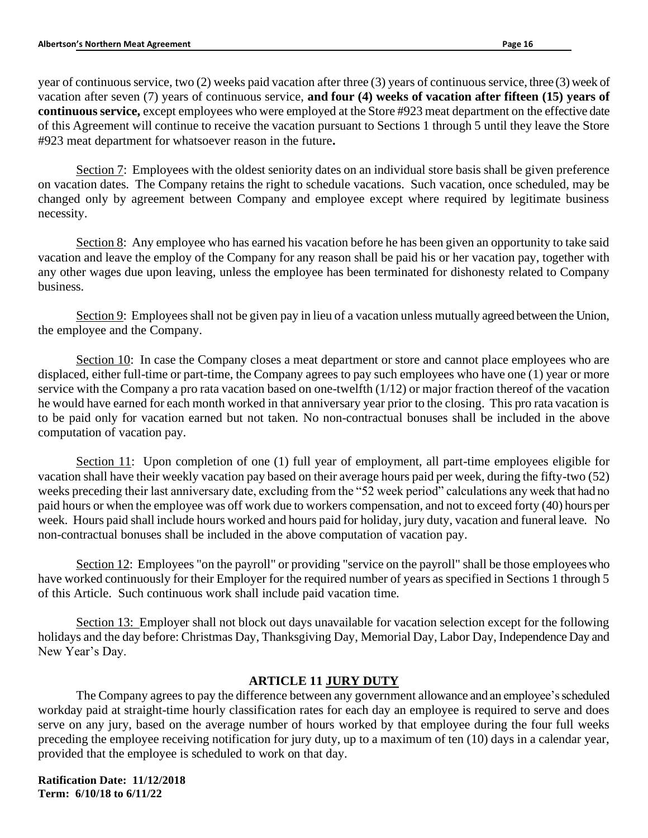year of continuous service, two (2) weeks paid vacation after three (3) years of continuous service, three (3) week of vacation after seven (7) years of continuous service, **and four (4) weeks of vacation after fifteen (15) years of continuous service,** except employees who were employed at the Store #923 meat department on the effective date of this Agreement will continue to receive the vacation pursuant to Sections 1 through 5 until they leave the Store #923 meat department for whatsoever reason in the future**.**

Section 7: Employees with the oldest seniority dates on an individual store basis shall be given preference on vacation dates. The Company retains the right to schedule vacations. Such vacation, once scheduled, may be changed only by agreement between Company and employee except where required by legitimate business necessity.

Section 8: Any employee who has earned his vacation before he has been given an opportunity to take said vacation and leave the employ of the Company for any reason shall be paid his or her vacation pay, together with any other wages due upon leaving, unless the employee has been terminated for dishonesty related to Company business.

Section 9: Employees shall not be given pay in lieu of a vacation unless mutually agreed between the Union, the employee and the Company.

Section 10: In case the Company closes a meat department or store and cannot place employees who are displaced, either full-time or part-time, the Company agrees to pay such employees who have one (1) year or more service with the Company a pro rata vacation based on one-twelfth (1/12) or major fraction thereof of the vacation he would have earned for each month worked in that anniversary year prior to the closing. This pro rata vacation is to be paid only for vacation earned but not taken. No non-contractual bonuses shall be included in the above computation of vacation pay.

Section 11: Upon completion of one (1) full year of employment, all part-time employees eligible for vacation shall have their weekly vacation pay based on their average hours paid per week, during the fifty-two (52) weeks preceding their last anniversary date, excluding from the "52 week period" calculations any week that had no paid hours or when the employee was off work due to workers compensation, and not to exceed forty (40) hours per week. Hours paid shall include hours worked and hours paid for holiday, jury duty, vacation and funeral leave. No non-contractual bonuses shall be included in the above computation of vacation pay.

Section 12: Employees "on the payroll" or providing "service on the payroll" shall be those employees who have worked continuously for their Employer for the required number of years as specified in Sections 1 through 5 of this Article. Such continuous work shall include paid vacation time.

Section 13: Employer shall not block out days unavailable for vacation selection except for the following holidays and the day before: Christmas Day, Thanksgiving Day, Memorial Day, Labor Day, Independence Day and New Year's Day.

# **ARTICLE 11 JURY DUTY**

The Company agrees to pay the difference between any government allowance and an employee's scheduled workday paid at straight-time hourly classification rates for each day an employee is required to serve and does serve on any jury, based on the average number of hours worked by that employee during the four full weeks preceding the employee receiving notification for jury duty, up to a maximum of ten (10) days in a calendar year, provided that the employee is scheduled to work on that day.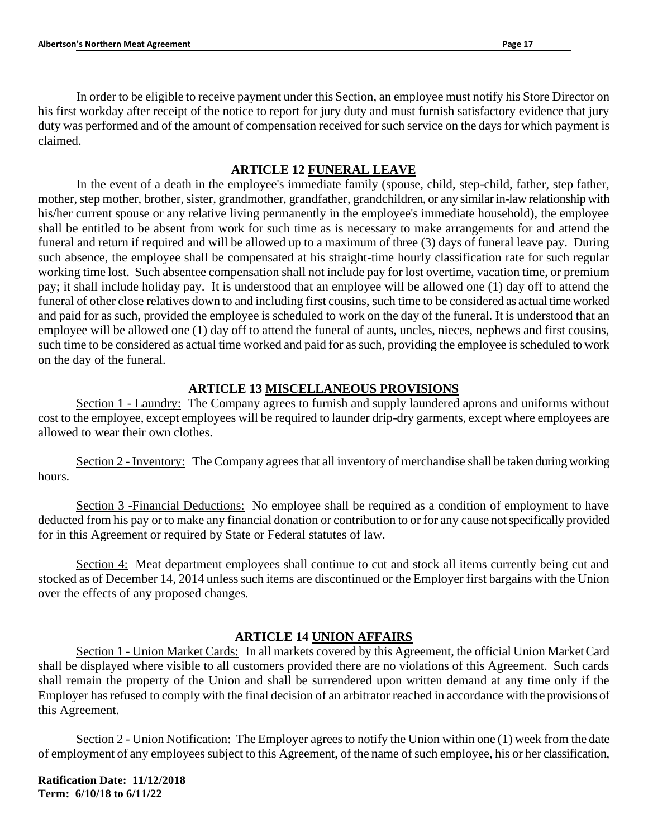In order to be eligible to receive payment under this Section, an employee must notify his Store Director on his first workday after receipt of the notice to report for jury duty and must furnish satisfactory evidence that jury duty was performed and of the amount of compensation received for such service on the days for which payment is claimed.

## **ARTICLE 12 FUNERAL LEAVE**

In the event of a death in the employee's immediate family (spouse, child, step-child, father, step father, mother, step mother, brother, sister, grandmother, grandfather, grandchildren, or any similar in-law relationship with his/her current spouse or any relative living permanently in the employee's immediate household), the employee shall be entitled to be absent from work for such time as is necessary to make arrangements for and attend the funeral and return if required and will be allowed up to a maximum of three (3) days of funeral leave pay. During such absence, the employee shall be compensated at his straight-time hourly classification rate for such regular working time lost. Such absentee compensation shall not include pay for lost overtime, vacation time, or premium pay; it shall include holiday pay. It is understood that an employee will be allowed one (1) day off to attend the funeral of other close relatives down to and including first cousins, such time to be considered as actual time worked and paid for as such, provided the employee is scheduled to work on the day of the funeral. It is understood that an employee will be allowed one (1) day off to attend the funeral of aunts, uncles, nieces, nephews and first cousins, such time to be considered as actual time worked and paid for as such, providing the employee is scheduled to work on the day of the funeral.

## **ARTICLE 13 MISCELLANEOUS PROVISIONS**

Section 1 - Laundry: The Company agrees to furnish and supply laundered aprons and uniforms without cost to the employee, except employees will be required to launder drip-dry garments, except where employees are allowed to wear their own clothes.

Section 2 - Inventory: The Company agrees that all inventory of merchandise shall be taken during working hours.

Section 3 -Financial Deductions: No employee shall be required as a condition of employment to have deducted from his pay or to make any financial donation or contribution to or for any cause not specifically provided for in this Agreement or required by State or Federal statutes of law.

Section 4: Meat department employees shall continue to cut and stock all items currently being cut and stocked as of December 14, 2014 unless such items are discontinued or the Employer first bargains with the Union over the effects of any proposed changes.

### **ARTICLE 14 UNION AFFAIRS**

Section 1 - Union Market Cards: In all markets covered by this Agreement, the official Union Market Card shall be displayed where visible to all customers provided there are no violations of this Agreement. Such cards shall remain the property of the Union and shall be surrendered upon written demand at any time only if the Employer has refused to comply with the final decision of an arbitrator reached in accordance with the provisions of this Agreement.

Section 2 - Union Notification: The Employer agrees to notify the Union within one (1) week from the date of employment of any employees subject to this Agreement, of the name of such employee, his or her classification,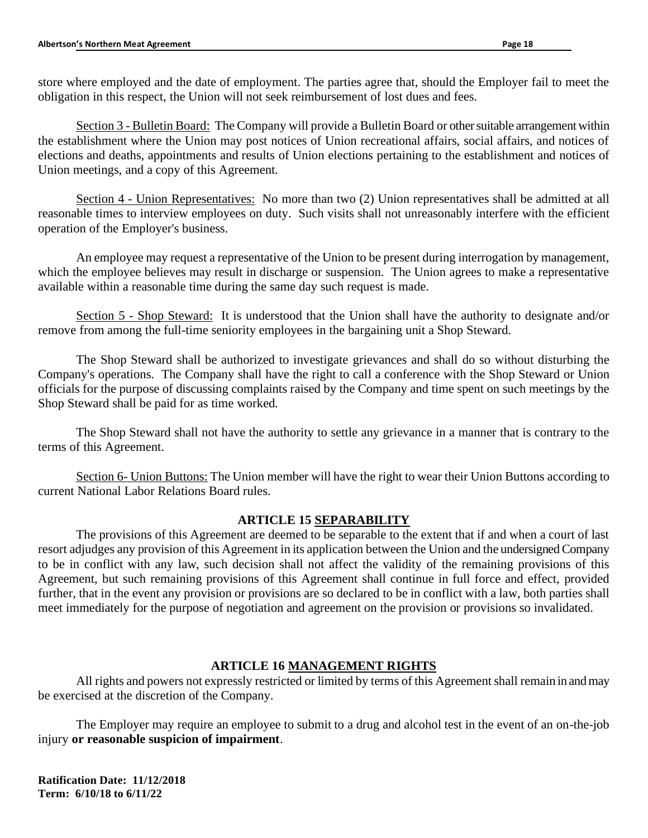store where employed and the date of employment. The parties agree that, should the Employer fail to meet the obligation in this respect, the Union will not seek reimbursement of lost dues and fees.

Section 3 - Bulletin Board: The Company will provide a Bulletin Board or other suitable arrangement within the establishment where the Union may post notices of Union recreational affairs, social affairs, and notices of elections and deaths, appointments and results of Union elections pertaining to the establishment and notices of Union meetings, and a copy of this Agreement.

Section 4 - Union Representatives: No more than two (2) Union representatives shall be admitted at all reasonable times to interview employees on duty. Such visits shall not unreasonably interfere with the efficient operation of the Employer's business.

An employee may request a representative of the Union to be present during interrogation by management, which the employee believes may result in discharge or suspension. The Union agrees to make a representative available within a reasonable time during the same day such request is made.

Section 5 - Shop Steward: It is understood that the Union shall have the authority to designate and/or remove from among the full-time seniority employees in the bargaining unit a Shop Steward.

The Shop Steward shall be authorized to investigate grievances and shall do so without disturbing the Company's operations. The Company shall have the right to call a conference with the Shop Steward or Union officials for the purpose of discussing complaints raised by the Company and time spent on such meetings by the Shop Steward shall be paid for as time worked.

The Shop Steward shall not have the authority to settle any grievance in a manner that is contrary to the terms of this Agreement.

Section 6- Union Buttons: The Union member will have the right to wear their Union Buttons according to current National Labor Relations Board rules.

# **ARTICLE 15 SEPARABILITY**

The provisions of this Agreement are deemed to be separable to the extent that if and when a court of last resort adjudges any provision of this Agreement in its application between the Union and the undersigned Company to be in conflict with any law, such decision shall not affect the validity of the remaining provisions of this Agreement, but such remaining provisions of this Agreement shall continue in full force and effect, provided further, that in the event any provision or provisions are so declared to be in conflict with a law, both parties shall meet immediately for the purpose of negotiation and agreement on the provision or provisions so invalidated.

# **ARTICLE 16 MANAGEMENT RIGHTS**

All rights and powers not expressly restricted or limited by terms of this Agreement shall remain in and may be exercised at the discretion of the Company.

The Employer may require an employee to submit to a drug and alcohol test in the event of an on-the-job injury **or reasonable suspicion of impairment**.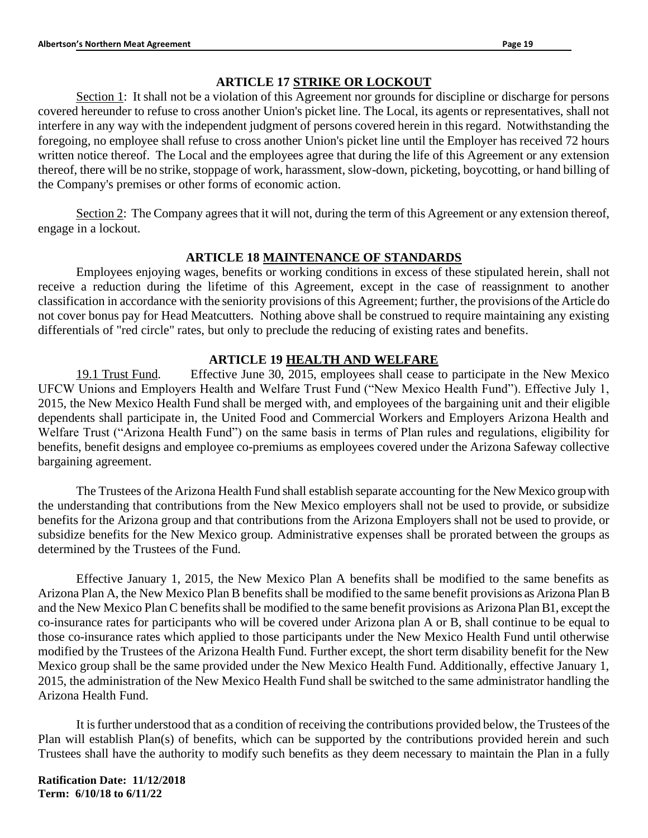## **ARTICLE 17 STRIKE OR LOCKOUT**

Section 1: It shall not be a violation of this Agreement nor grounds for discipline or discharge for persons covered hereunder to refuse to cross another Union's picket line. The Local, its agents or representatives, shall not interfere in any way with the independent judgment of persons covered herein in this regard. Notwithstanding the foregoing, no employee shall refuse to cross another Union's picket line until the Employer has received 72 hours written notice thereof. The Local and the employees agree that during the life of this Agreement or any extension thereof, there will be no strike, stoppage of work, harassment, slow-down, picketing, boycotting, or hand billing of the Company's premises or other forms of economic action.

Section 2: The Company agrees that it will not, during the term of this Agreement or any extension thereof, engage in a lockout.

## **ARTICLE 18 MAINTENANCE OF STANDARDS**

Employees enjoying wages, benefits or working conditions in excess of these stipulated herein, shall not receive a reduction during the lifetime of this Agreement, except in the case of reassignment to another classification in accordance with the seniority provisions of this Agreement; further, the provisions of the Article do not cover bonus pay for Head Meatcutters. Nothing above shall be construed to require maintaining any existing differentials of "red circle" rates, but only to preclude the reducing of existing rates and benefits.

## **ARTICLE 19 HEALTH AND WELFARE**

19.1 Trust Fund. Effective June 30, 2015, employees shall cease to participate in the New Mexico UFCW Unions and Employers Health and Welfare Trust Fund ("New Mexico Health Fund"). Effective July 1, 2015, the New Mexico Health Fund shall be merged with, and employees of the bargaining unit and their eligible dependents shall participate in, the United Food and Commercial Workers and Employers Arizona Health and Welfare Trust ("Arizona Health Fund") on the same basis in terms of Plan rules and regulations, eligibility for benefits, benefit designs and employee co-premiums as employees covered under the Arizona Safeway collective bargaining agreement.

The Trustees of the Arizona Health Fund shall establish separate accounting for the New Mexico group with the understanding that contributions from the New Mexico employers shall not be used to provide, or subsidize benefits for the Arizona group and that contributions from the Arizona Employers shall not be used to provide, or subsidize benefits for the New Mexico group. Administrative expenses shall be prorated between the groups as determined by the Trustees of the Fund.

Effective January 1, 2015, the New Mexico Plan A benefits shall be modified to the same benefits as Arizona Plan A, the New Mexico Plan B benefits shall be modified to the same benefit provisions as Arizona Plan B and the New Mexico Plan C benefits shall be modified to the same benefit provisions as Arizona Plan B1, except the co-insurance rates for participants who will be covered under Arizona plan A or B, shall continue to be equal to those co-insurance rates which applied to those participants under the New Mexico Health Fund until otherwise modified by the Trustees of the Arizona Health Fund. Further except, the short term disability benefit for the New Mexico group shall be the same provided under the New Mexico Health Fund. Additionally, effective January 1, 2015, the administration of the New Mexico Health Fund shall be switched to the same administrator handling the Arizona Health Fund.

It is further understood that as a condition of receiving the contributions provided below, the Trustees of the Plan will establish Plan(s) of benefits, which can be supported by the contributions provided herein and such Trustees shall have the authority to modify such benefits as they deem necessary to maintain the Plan in a fully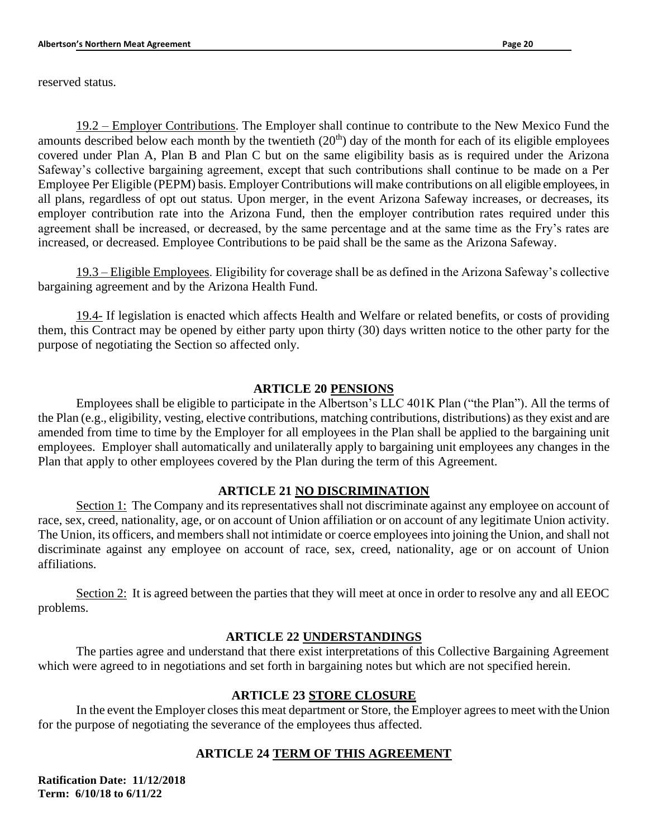reserved status.

19.2 – Employer Contributions. The Employer shall continue to contribute to the New Mexico Fund the amounts described below each month by the twentieth  $(20<sup>th</sup>)$  day of the month for each of its eligible employees covered under Plan A, Plan B and Plan C but on the same eligibility basis as is required under the Arizona Safeway's collective bargaining agreement, except that such contributions shall continue to be made on a Per Employee Per Eligible (PEPM) basis. Employer Contributions will make contributions on all eligible employees, in all plans, regardless of opt out status. Upon merger, in the event Arizona Safeway increases, or decreases, its employer contribution rate into the Arizona Fund, then the employer contribution rates required under this agreement shall be increased, or decreased, by the same percentage and at the same time as the Fry's rates are increased, or decreased. Employee Contributions to be paid shall be the same as the Arizona Safeway.

19.3 – Eligible Employees. Eligibility for coverage shall be as defined in the Arizona Safeway's collective bargaining agreement and by the Arizona Health Fund.

19.4- If legislation is enacted which affects Health and Welfare or related benefits, or costs of providing them, this Contract may be opened by either party upon thirty (30) days written notice to the other party for the purpose of negotiating the Section so affected only.

### **ARTICLE 20 PENSIONS**

Employees shall be eligible to participate in the Albertson's LLC 401K Plan ("the Plan"). All the terms of the Plan (e.g., eligibility, vesting, elective contributions, matching contributions, distributions) as they exist and are amended from time to time by the Employer for all employees in the Plan shall be applied to the bargaining unit employees. Employer shall automatically and unilaterally apply to bargaining unit employees any changes in the Plan that apply to other employees covered by the Plan during the term of this Agreement.

#### **ARTICLE 21 NO DISCRIMINATION**

Section 1: The Company and its representatives shall not discriminate against any employee on account of race, sex, creed, nationality, age, or on account of Union affiliation or on account of any legitimate Union activity. The Union, its officers, and members shall not intimidate or coerce employees into joining the Union, and shall not discriminate against any employee on account of race, sex, creed, nationality, age or on account of Union affiliations.

Section 2: It is agreed between the parties that they will meet at once in order to resolve any and all EEOC problems.

### **ARTICLE 22 UNDERSTANDINGS**

The parties agree and understand that there exist interpretations of this Collective Bargaining Agreement which were agreed to in negotiations and set forth in bargaining notes but which are not specified herein.

### **ARTICLE 23 STORE CLOSURE**

In the event the Employer closes this meat department or Store, the Employer agrees to meet with the Union for the purpose of negotiating the severance of the employees thus affected.

### **ARTICLE 24 TERM OF THIS AGREEMENT**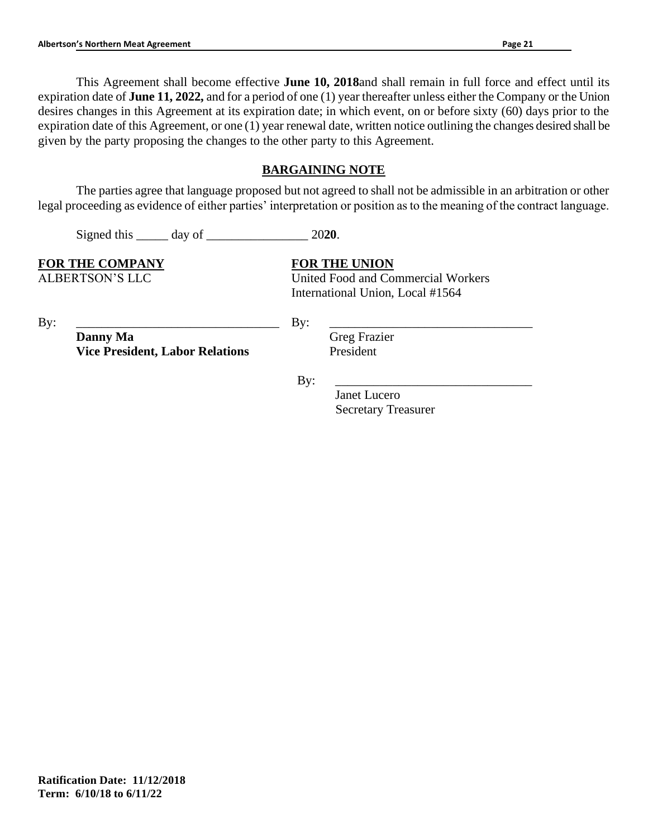This Agreement shall become effective **June 10, 2018**and shall remain in full force and effect until its expiration date of **June 11, 2022,** and for a period of one (1) year thereafter unless either the Company or the Union desires changes in this Agreement at its expiration date; in which event, on or before sixty (60) days prior to the expiration date of this Agreement, or one (1) year renewal date, written notice outlining the changes desired shall be given by the party proposing the changes to the other party to this Agreement.

# **BARGAINING NOTE**

The parties agree that language proposed but not agreed to shall not be admissible in an arbitration or other legal proceeding as evidence of either parties' interpretation or position as to the meaning of the contract language.

Signed this \_\_\_\_\_ day of \_\_\_\_\_\_\_\_\_\_\_\_\_\_\_\_ 20**20**.

**FOR THE COMPANY FOR THE UNION**

ALBERTSON'S LLC United Food and Commercial Workers International Union, Local #1564

By: \_\_\_\_\_\_\_\_\_\_\_\_\_\_\_\_\_\_\_\_\_\_\_\_\_\_\_\_\_\_\_\_

By: \_\_\_\_\_\_\_\_\_\_\_\_\_\_\_\_\_\_\_\_\_\_\_\_\_\_\_\_\_\_\_\_

**Danny Ma Vice President, Labor Relations**  Greg Frazier President

By: \_\_\_\_\_\_\_\_\_\_\_\_\_\_\_\_\_\_\_\_\_\_\_\_\_\_\_\_\_\_\_

Janet Lucero Secretary Treasurer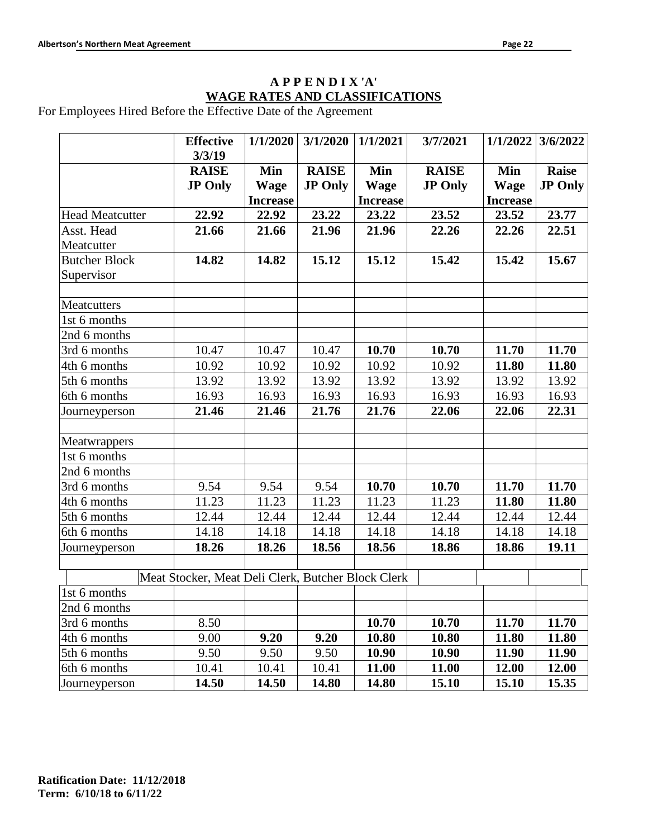# **A P P E N D I X 'A' WAGE RATES AND CLASSIFICATIONS**

For Employees Hired Before the Effective Date of the Agreement

|                                    | <b>Effective</b><br>3/3/19                         | 1/1/2020                              | 3/1/2020                       | 1/1/2021                              | 3/7/2021                       | 1/1/2022                              | 3/6/2022                       |
|------------------------------------|----------------------------------------------------|---------------------------------------|--------------------------------|---------------------------------------|--------------------------------|---------------------------------------|--------------------------------|
|                                    | <b>RAISE</b><br><b>JP Only</b>                     | Min<br><b>Wage</b><br><b>Increase</b> | <b>RAISE</b><br><b>JP Only</b> | Min<br><b>Wage</b><br><b>Increase</b> | <b>RAISE</b><br><b>JP Only</b> | Min<br><b>Wage</b><br><b>Increase</b> | <b>Raise</b><br><b>JP Only</b> |
| <b>Head Meatcutter</b>             | 22.92                                              | 22.92                                 | 23.22                          | 23.22                                 | 23.52                          | 23.52                                 | 23.77                          |
| Asst. Head<br>Meatcutter           | 21.66                                              | 21.66                                 | 21.96                          | 21.96                                 | 22.26                          | 22.26                                 | 22.51                          |
| <b>Butcher Block</b><br>Supervisor | 14.82                                              | 14.82                                 | 15.12                          | 15.12                                 | 15.42                          | 15.42                                 | 15.67                          |
| Meatcutters                        |                                                    |                                       |                                |                                       |                                |                                       |                                |
| 1st 6 months                       |                                                    |                                       |                                |                                       |                                |                                       |                                |
| 2nd 6 months                       |                                                    |                                       |                                |                                       |                                |                                       |                                |
| 3rd 6 months                       | 10.47                                              | 10.47                                 | 10.47                          | 10.70                                 | 10.70                          | 11.70                                 | 11.70                          |
| 4th 6 months                       | 10.92                                              | 10.92                                 | 10.92                          | 10.92                                 | 10.92                          | 11.80                                 | 11.80                          |
| 5th 6 months                       | 13.92                                              | 13.92                                 | 13.92                          | 13.92                                 | 13.92                          | 13.92                                 | 13.92                          |
| 6th 6 months                       | 16.93                                              | 16.93                                 | 16.93                          | 16.93                                 | 16.93                          | 16.93                                 | 16.93                          |
| Journeyperson                      | 21.46                                              | 21.46                                 | 21.76                          | 21.76                                 | 22.06                          | 22.06                                 | 22.31                          |
| Meatwrappers                       |                                                    |                                       |                                |                                       |                                |                                       |                                |
| 1st 6 months                       |                                                    |                                       |                                |                                       |                                |                                       |                                |
| 2nd 6 months                       |                                                    |                                       |                                |                                       |                                |                                       |                                |
| 3rd 6 months                       | 9.54                                               | 9.54                                  | 9.54                           | 10.70                                 | 10.70                          | 11.70                                 | 11.70                          |
| 4th 6 months                       | 11.23                                              | 11.23                                 | 11.23                          | 11.23                                 | 11.23                          | 11.80                                 | 11.80                          |
| 5th 6 months                       | 12.44                                              | 12.44                                 | 12.44                          | 12.44                                 | 12.44                          | 12.44                                 | 12.44                          |
| 6th 6 months                       | 14.18                                              | 14.18                                 | 14.18                          | 14.18                                 | 14.18                          | 14.18                                 | 14.18                          |
| Journeyperson                      | 18.26                                              | 18.26                                 | 18.56                          | 18.56                                 | 18.86                          | 18.86                                 | 19.11                          |
|                                    | Meat Stocker, Meat Deli Clerk, Butcher Block Clerk |                                       |                                |                                       |                                |                                       |                                |
| 1st 6 months                       |                                                    |                                       |                                |                                       |                                |                                       |                                |
| 2nd 6 months                       |                                                    |                                       |                                |                                       |                                |                                       |                                |
| 3rd 6 months                       | 8.50                                               |                                       |                                | 10.70                                 | 10.70                          | 11.70                                 | 11.70                          |
| 4th 6 months                       | 9.00                                               | 9.20                                  | 9.20                           | 10.80                                 | 10.80                          | 11.80                                 | 11.80                          |
| 5th 6 months                       | 9.50                                               | 9.50                                  | 9.50                           | 10.90                                 | 10.90                          | 11.90                                 | 11.90                          |
| 6th 6 months                       | 10.41                                              | 10.41                                 | 10.41                          | 11.00                                 | 11.00                          | 12.00                                 | 12.00                          |
| Journeyperson                      | 14.50                                              | 14.50                                 | 14.80                          | 14.80                                 | 15.10                          | 15.10                                 | 15.35                          |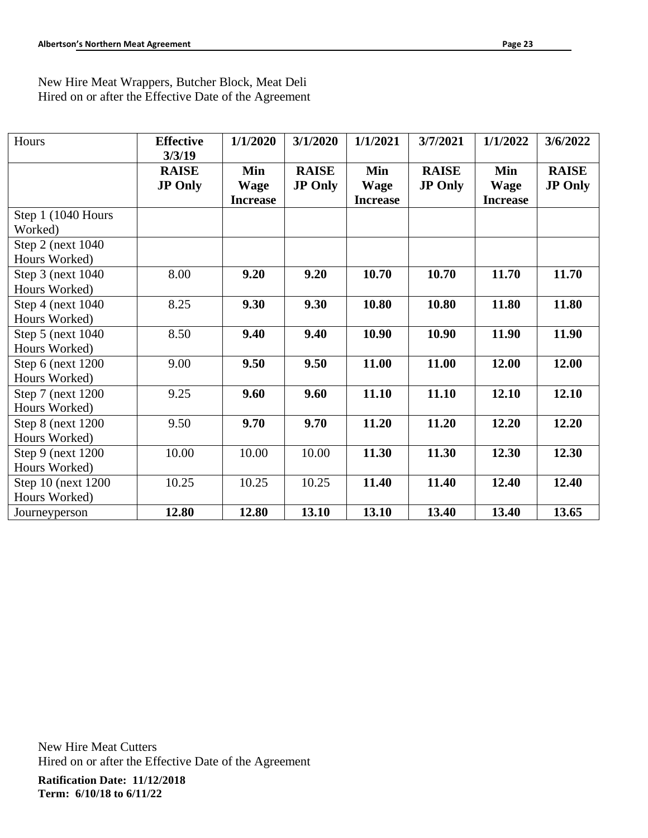New Hire Meat Wrappers, Butcher Block, Meat Deli Hired on or after the Effective Date of the Agreement

| Hours                                | <b>Effective</b><br>3/3/19     | 1/1/2020                              | 3/1/2020                       | 1/1/2021                              | 3/7/2021                       | 1/1/2022                              | 3/6/2022                       |
|--------------------------------------|--------------------------------|---------------------------------------|--------------------------------|---------------------------------------|--------------------------------|---------------------------------------|--------------------------------|
|                                      | <b>RAISE</b><br><b>JP Only</b> | Min<br><b>Wage</b><br><b>Increase</b> | <b>RAISE</b><br><b>JP Only</b> | Min<br><b>Wage</b><br><b>Increase</b> | <b>RAISE</b><br><b>JP Only</b> | Min<br><b>Wage</b><br><b>Increase</b> | <b>RAISE</b><br><b>JP Only</b> |
| Step 1 (1040 Hours<br>Worked)        |                                |                                       |                                |                                       |                                |                                       |                                |
| Step 2 (next 1040)<br>Hours Worked)  |                                |                                       |                                |                                       |                                |                                       |                                |
| Step 3 (next 1040)<br>Hours Worked)  | 8.00                           | 9.20                                  | 9.20                           | 10.70                                 | 10.70                          | 11.70                                 | 11.70                          |
| Step 4 (next 1040)<br>Hours Worked)  | 8.25                           | 9.30                                  | 9.30                           | 10.80                                 | 10.80                          | 11.80                                 | 11.80                          |
| Step 5 (next 1040)<br>Hours Worked)  | 8.50                           | 9.40                                  | 9.40                           | 10.90                                 | 10.90                          | 11.90                                 | 11.90                          |
| Step 6 (next 1200)<br>Hours Worked)  | 9.00                           | 9.50                                  | 9.50                           | 11.00                                 | 11.00                          | 12.00                                 | 12.00                          |
| Step 7 (next 1200)<br>Hours Worked)  | 9.25                           | 9.60                                  | 9.60                           | 11.10                                 | 11.10                          | 12.10                                 | 12.10                          |
| Step 8 (next 1200)<br>Hours Worked)  | 9.50                           | 9.70                                  | 9.70                           | 11.20                                 | 11.20                          | 12.20                                 | 12.20                          |
| Step 9 (next 1200)<br>Hours Worked)  | 10.00                          | 10.00                                 | 10.00                          | 11.30                                 | 11.30                          | 12.30                                 | 12.30                          |
| Step 10 (next 1200)<br>Hours Worked) | 10.25                          | 10.25                                 | 10.25                          | 11.40                                 | 11.40                          | 12.40                                 | 12.40                          |
| Journeyperson                        | 12.80                          | 12.80                                 | 13.10                          | 13.10                                 | 13.40                          | 13.40                                 | 13.65                          |

**Ratification Date: 11/12/2018** New Hire Meat Cutters Hired on or after the Effective Date of the Agreement

**Term: 6/10/18 to 6/11/22**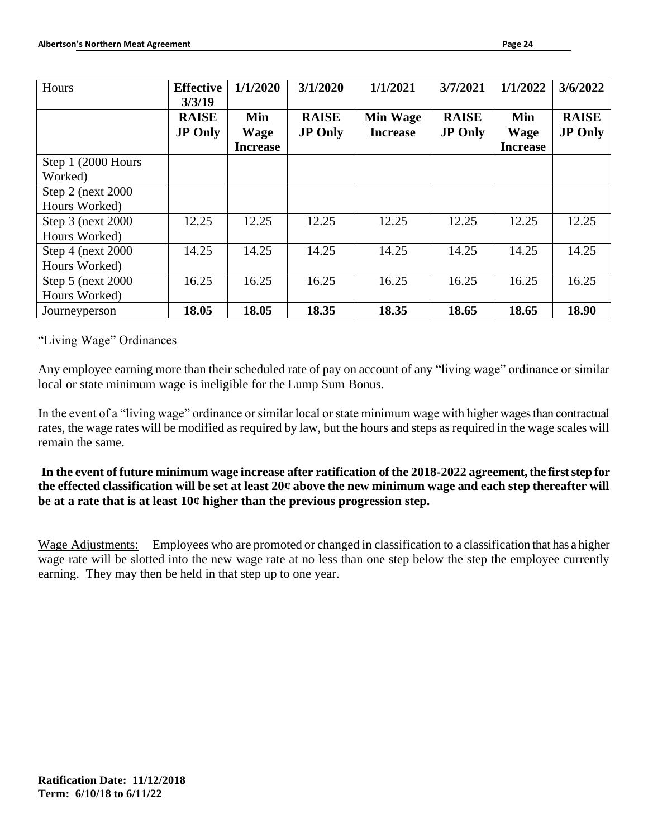| Hours                                    | <b>Effective</b>                         | 1/1/2020           | 3/1/2020                       | 1/1/2021                           | 3/7/2021                       | 1/1/2022           | 3/6/2022                       |
|------------------------------------------|------------------------------------------|--------------------|--------------------------------|------------------------------------|--------------------------------|--------------------|--------------------------------|
|                                          | 3/3/19<br><b>RAISE</b><br><b>JP Only</b> | Min<br><b>Wage</b> | <b>RAISE</b><br><b>JP Only</b> | <b>Min Wage</b><br><b>Increase</b> | <b>RAISE</b><br><b>JP Only</b> | Min<br><b>Wage</b> | <b>RAISE</b><br><b>JP Only</b> |
| Step 1 (2000 Hours<br>Worked)            |                                          | <b>Increase</b>    |                                |                                    |                                | <b>Increase</b>    |                                |
| Step $2$ (next $2000$ )<br>Hours Worked) |                                          |                    |                                |                                    |                                |                    |                                |
| Step 3 (next 2000)<br>Hours Worked)      | 12.25                                    | 12.25              | 12.25                          | 12.25                              | 12.25                          | 12.25              | 12.25                          |
| Step $4$ (next 2000)<br>Hours Worked)    | 14.25                                    | 14.25              | 14.25                          | 14.25                              | 14.25                          | 14.25              | 14.25                          |
| Step $5$ (next $2000$ )<br>Hours Worked) | 16.25                                    | 16.25              | 16.25                          | 16.25                              | 16.25                          | 16.25              | 16.25                          |
| Journeyperson                            | 18.05                                    | 18.05              | 18.35                          | 18.35                              | 18.65                          | 18.65              | 18.90                          |

### "Living Wage" Ordinances

Any employee earning more than their scheduled rate of pay on account of any "living wage" ordinance or similar local or state minimum wage is ineligible for the Lump Sum Bonus.

In the event of a "living wage" ordinance or similar local or state minimum wage with higher wages than contractual rates, the wage rates will be modified as required by law, but the hours and steps as required in the wage scales will remain the same.

**In the event of future minimum wage increase after ratification of the 2018-2022 agreement, the first step for the effected classification will be set at least 20¢ above the new minimum wage and each step thereafter will be at a rate that is at least 10¢ higher than the previous progression step.**

Wage Adjustments: Employees who are promoted or changed in classification to a classification that has a higher wage rate will be slotted into the new wage rate at no less than one step below the step the employee currently earning. They may then be held in that step up to one year.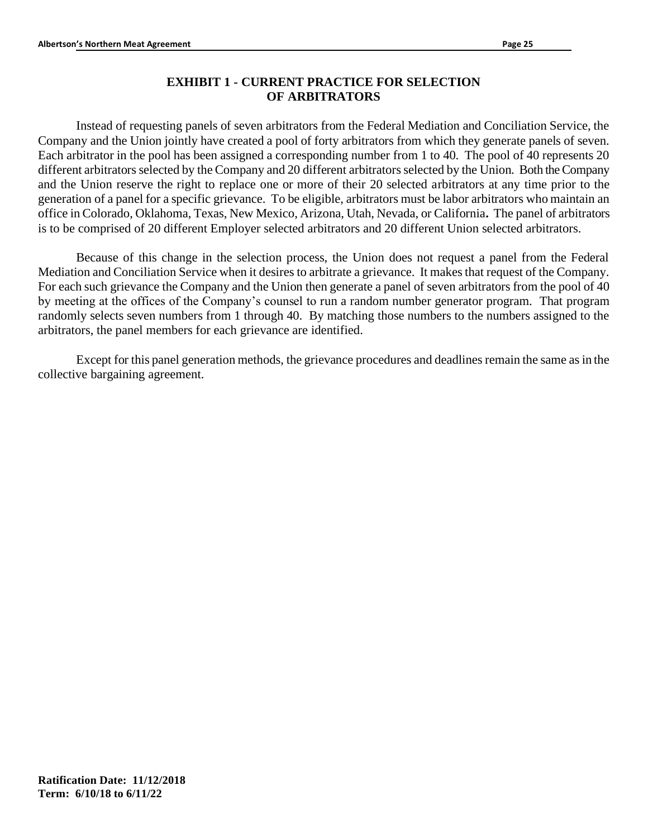# **EXHIBIT 1 - CURRENT PRACTICE FOR SELECTION OF ARBITRATORS**

Instead of requesting panels of seven arbitrators from the Federal Mediation and Conciliation Service, the Company and the Union jointly have created a pool of forty arbitrators from which they generate panels of seven. Each arbitrator in the pool has been assigned a corresponding number from 1 to 40. The pool of 40 represents 20 different arbitrators selected by the Company and 20 different arbitrators selected by the Union. Both the Company and the Union reserve the right to replace one or more of their 20 selected arbitrators at any time prior to the generation of a panel for a specific grievance. To be eligible, arbitrators must be labor arbitrators who maintain an office in Colorado, Oklahoma, Texas, New Mexico, Arizona, Utah, Nevada, or California**.** The panel of arbitrators is to be comprised of 20 different Employer selected arbitrators and 20 different Union selected arbitrators.

Because of this change in the selection process, the Union does not request a panel from the Federal Mediation and Conciliation Service when it desires to arbitrate a grievance. It makes that request of the Company. For each such grievance the Company and the Union then generate a panel of seven arbitrators from the pool of 40 by meeting at the offices of the Company's counsel to run a random number generator program. That program randomly selects seven numbers from 1 through 40. By matching those numbers to the numbers assigned to the arbitrators, the panel members for each grievance are identified.

Except for this panel generation methods, the grievance procedures and deadlines remain the same as in the collective bargaining agreement.